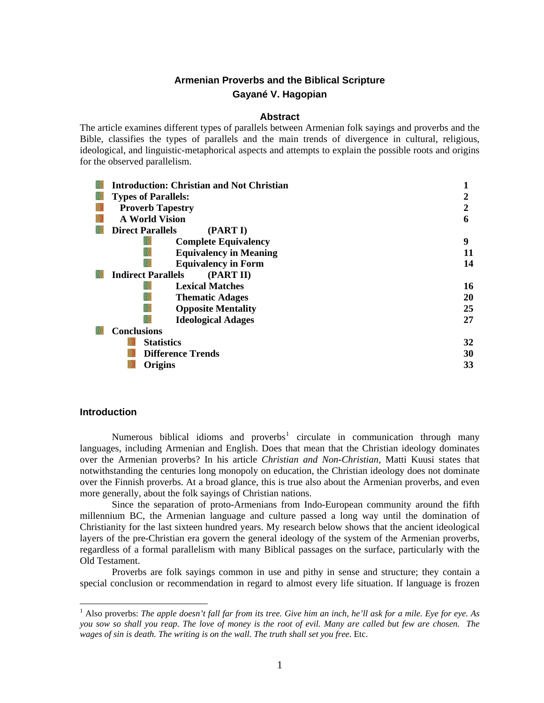# **Armenian Proverbs and the Biblical Scripture Gayané V. Hagopian**

### **Abstract**

The article examines different types of parallels between Armenian folk sayings and proverbs and the Bible, classifies the types of parallels and the main trends of divergence in cultural, religious, ideological, and linguistic-metaphorical aspects and attempts to explain the possible roots and origins for the observed parallelism.

| Introduction: Christian and Not Christian |    |
|-------------------------------------------|----|
| <b>Types of Parallels:</b>                |    |
| <b>Proverb Tapestry</b>                   | 2  |
| <b>A World Vision</b>                     | 6  |
| <b>Direct Parallels</b><br>(PART I)       |    |
| <b>Complete Equivalency</b>               | 9  |
| <b>Equivalency in Meaning</b>             | 11 |
| <b>Equivalency in Form</b>                | 14 |
| (PART II)<br><b>Indirect Parallels</b>    |    |
| <b>Lexical Matches</b>                    | 16 |
| <b>Thematic Adages</b>                    | 20 |
| <b>Opposite Mentality</b>                 | 25 |
| <b>Ideological Adages</b>                 | 27 |
| <b>Conclusions</b>                        |    |
| <b>Statistics</b>                         | 32 |
| <b>Difference Trends</b>                  | 30 |
| Origins                                   | 33 |

### **Introduction**

Numerous biblical idioms and proverbs<sup>[1](#page-0-0)</sup> circulate in communication through many languages, including Armenian and English. Does that mean that the Christian ideology dominates over the Armenian proverbs? In his article *Christian and Non-Christian,* Matti Kuusi states that notwithstanding the centuries long monopoly on education, the Christian ideology does not dominate over the Finnish proverbs. At a broad glance, this is true also about the Armenian proverbs, and even more generally, about the folk sayings of Christian nations.

Since the separation of proto-Armenians from Indo-European community around the fifth millennium BC, the Armenian language and culture passed a long way until the domination of Christianity for the last sixteen hundred years. My research below shows that the ancient ideological layers of the pre-Christian era govern the general ideology of the system of the Armenian proverbs, regardless of a formal parallelism with many Biblical passages on the surface, particularly with the Old Testament.

Proverbs are folk sayings common in use and pithy in sense and structure; they contain a special conclusion or recommendation in regard to almost every life situation. If language is frozen

<span id="page-0-0"></span> 1 Also proverbs: *The apple doesn't fall far from its tree. Give him an inch, he'll ask for a mile. Eye for eye. As you sow so shall you reap. The love of money is the root of evil. Many are called but few are chosen. The wages of sin is death. The writing is on the wall. The truth shall set you free.* Etc.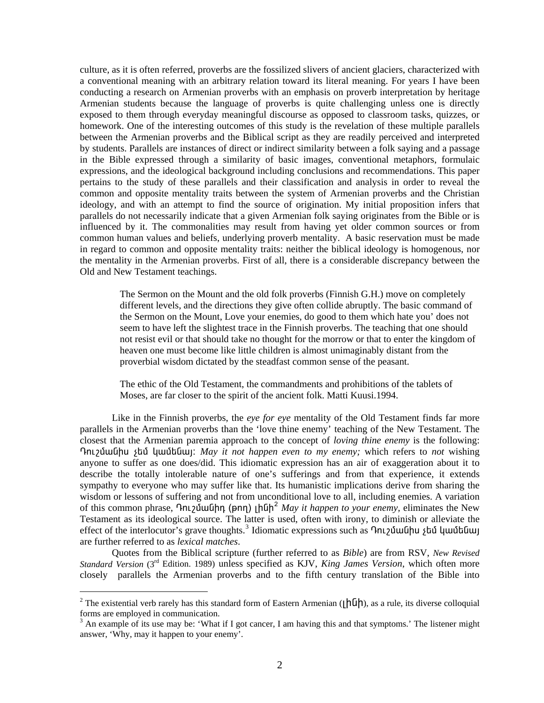culture, as it is often referred, proverbs are the fossilized slivers of ancient glaciers, characterized with a conventional meaning with an arbitrary relation toward its literal meaning. For years I have been conducting a research on Armenian proverbs with an emphasis on proverb interpretation by heritage Armenian students because the language of proverbs is quite challenging unless one is directly exposed to them through everyday meaningful discourse as opposed to classroom tasks, quizzes, or homework. One of the interesting outcomes of this study is the revelation of these multiple parallels between the Armenian proverbs and the Biblical script as they are readily perceived and interpreted by students. Parallels are instances of direct or indirect similarity between a folk saying and a passage in the Bible expressed through a similarity of basic images, conventional metaphors, formulaic expressions, and the ideological background including conclusions and recommendations. This paper pertains to the study of these parallels and their classification and analysis in order to reveal the common and opposite mentality traits between the system of Armenian proverbs and the Christian ideology, and with an attempt to find the source of origination. My initial proposition infers that parallels do not necessarily indicate that a given Armenian folk saying originates from the Bible or is influenced by it. The commonalities may result from having yet older common sources or from common human values and beliefs, underlying proverb mentality. A basic reservation must be made in regard to common and opposite mentality traits: neither the biblical ideology is homogenous, nor the mentality in the Armenian proverbs. First of all, there is a considerable discrepancy between the Old and New Testament teachings.

The Sermon on the Mount and the old folk proverbs (Finnish G.H.) move on completely different levels, and the directions they give often collide abruptly. The basic command of the Sermon on the Mount, Love your enemies, do good to them which hate you' does not seem to have left the slightest trace in the Finnish proverbs. The teaching that one should not resist evil or that should take no thought for the morrow or that to enter the kingdom of heaven one must become like little children is almost unimaginably distant from the proverbial wisdom dictated by the steadfast common sense of the peasant.

The ethic of the Old Testament, the commandments and prohibitions of the tablets of Moses, are far closer to the spirit of the ancient folk. Matti Kuusi.1994.

Like in the Finnish proverbs, the *eye for eye* mentality of the Old Testament finds far more parallels in the Armenian proverbs than the 'love thine enemy' teaching of the New Testament. The closest that the Armenian paremia approach to the concept of *loving thine enemy* is the following: **Γελλλαμβρίου για για το πρωτικοί** *May it not happen even to my enemy;* **which refers to** *not* **wishing** anyone to suffer as one does/did. This idiomatic expression has an air of exaggeration about it to describe the totally intolerable nature of one's sufferings and from that experience, it extends sympathy to everyone who may suffer like that. Its humanistic implications derive from sharing the wisdom or lessons of suffering and not from unconditional love to all, including enemies. A variation of this common phrase,  $\Omega$ nt  $\Omega$ **Ú**uQhn (pnn)  $\left| \Pi \Phi \right|^2$  $\left| \Pi \Phi \right|^2$  *May it happen to your enemy,* eliminates the New Testament as its ideological source. The latter is used, often with irony, to diminish or alleviate the effect of the interlocutor's grave thoughts.<sup>[3](#page-1-1)</sup> Idiomatic expressions such as **Ontagothala** 2tu qualitum are further referred to as *lexical matches*.

Quotes from the Biblical scripture (further referred to as *Bible*) are from RSV, *New Revised Standard Version* (3rd Edition. 1989) unless specified as KJV, *King James Version*, which often more closely parallels the Armenian proverbs and to the fifth century translation of the Bible into

-

<span id="page-1-0"></span><sup>&</sup>lt;sup>2</sup> The existential verb rarely has this standard form of Eastern Armenian ( $\lfloor h \ln h \rfloor$ ), as a rule, its diverse colloquial forms are employed in communication.

<span id="page-1-1"></span> $3$  An example of its use may be: 'What if I got cancer, I am having this and that symptoms.' The listener might answer, 'Why, may it happen to your enemy'.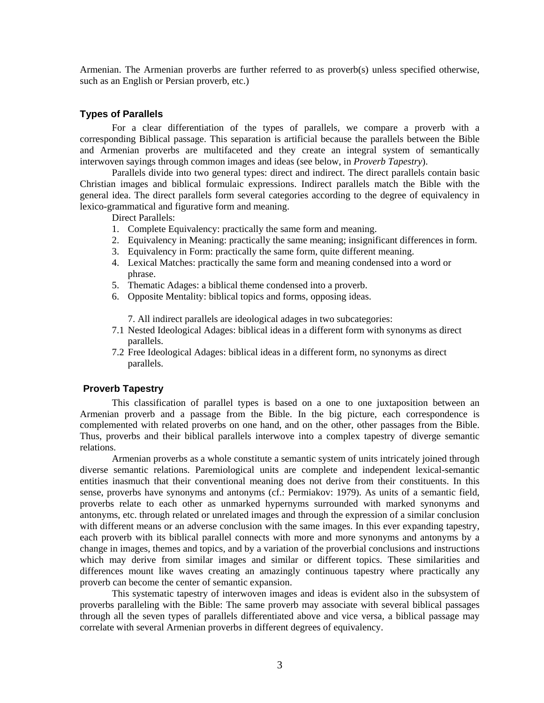Armenian. The Armenian proverbs are further referred to as proverb(s) unless specified otherwise, such as an English or Persian proverb, etc.)

#### **Types of Parallels**

For a clear differentiation of the types of parallels, we compare a proverb with a corresponding Biblical passage. This separation is artificial because the parallels between the Bible and Armenian proverbs are multifaceted and they create an integral system of semantically interwoven sayings through common images and ideas (see below, in *Proverb Tapestry*).

Parallels divide into two general types: direct and indirect. The direct parallels contain basic Christian images and biblical formulaic expressions. Indirect parallels match the Bible with the general idea. The direct parallels form several categories according to the degree of equivalency in lexico-grammatical and figurative form and meaning.

Direct Parallels:

- 1. Complete Equivalency: practically the same form and meaning.
- 2. Equivalency in Meaning: practically the same meaning; insignificant differences in form.
- 3. Equivalency in Form: practically the same form, quite different meaning.
- 4. Lexical Matches: practically the same form and meaning condensed into a word or phrase.
- 5. Thematic Adages: a biblical theme condensed into a proverb.
- 6. Opposite Mentality: biblical topics and forms, opposing ideas.

7. All indirect parallels are ideological adages in two subcategories:

- 7.1 Nested Ideological Adages: biblical ideas in a different form with synonyms as direct parallels.
- 7.2 Free Ideological Adages: biblical ideas in a different form, no synonyms as direct parallels.

#### **Proverb Tapestry**

This classification of parallel types is based on a one to one juxtaposition between an Armenian proverb and a passage from the Bible. In the big picture, each correspondence is complemented with related proverbs on one hand, and on the other, other passages from the Bible. Thus, proverbs and their biblical parallels interwove into a complex tapestry of diverge semantic relations.

Armenian proverbs as a whole constitute a semantic system of units intricately joined through diverse semantic relations. Paremiological units are complete and independent lexical-semantic entities inasmuch that their conventional meaning does not derive from their constituents. In this sense, proverbs have synonyms and antonyms (cf.: Permiakov: 1979). As units of a semantic field, proverbs relate to each other as unmarked hypernyms surrounded with marked synonyms and antonyms, etc. through related or unrelated images and through the expression of a similar conclusion with different means or an adverse conclusion with the same images. In this ever expanding tapestry, each proverb with its biblical parallel connects with more and more synonyms and antonyms by a change in images, themes and topics, and by a variation of the proverbial conclusions and instructions which may derive from similar images and similar or different topics. These similarities and differences mount like waves creating an amazingly continuous tapestry where practically any proverb can become the center of semantic expansion.

This systematic tapestry of interwoven images and ideas is evident also in the subsystem of proverbs paralleling with the Bible: The same proverb may associate with several biblical passages through all the seven types of parallels differentiated above and vice versa, a biblical passage may correlate with several Armenian proverbs in different degrees of equivalency.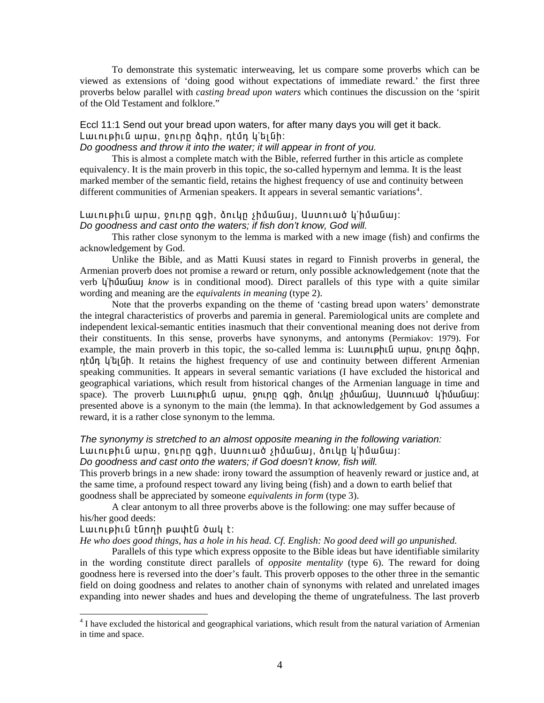To demonstrate this systematic interweaving, let us compare some proverbs which can be viewed as extensions of 'doing good without expectations of immediate reward.' the first three proverbs below parallel with *casting bread upon waters* which continues the discussion on the 'spirit of the Old Testament and folklore."

# Eccl 11:1 Send out your bread upon waters, for after many days you will get it back. Lաւութիւն արա, ջուրը ձգիր, դէմդ կ'ելնի:

### *Do goodness and throw it into the water; it will appear in front of you.*

This is almost a complete match with the Bible, referred further in this article as complete equivalency. It is the main proverb in this topic, the so-called hypernym and lemma. It is the least marked member of the semantic field, retains the highest frequency of use and continuity between different communities of Armenian speakers. It appears in several semantic variations<sup>[4](#page-3-0)</sup>.

# Lwiniphia wnw, oninn qgh, ðnilin shuway, Uumniwó lj'huway: *Do goodness and cast onto the waters; if fish don't know, God will.*

This rather close synonym to the lemma is marked with a new image (fish) and confirms the acknowledgement by God.

Unlike the Bible, and as Matti Kuusi states in regard to Finnish proverbs in general, the Armenian proverb does not promise a reward or return, only possible acknowledgement (note that the verb *l*<sub>j</sub>' h *l* μ *know* is in conditional mood). Direct parallels of this type with a quite similar wording and meaning are the *equivalents in meaning* (type 2).

Note that the proverbs expanding on the theme of 'casting bread upon waters' demonstrate the integral characteristics of proverbs and paremia in general. Paremiological units are complete and independent lexical-semantic entities inasmuch that their conventional meaning does not derive from their constituents. In this sense, proverbs have synonyms, and antonyms (Permiakov: 1979). For example, the main proverb in this topic, the so-called lemma is: Luunuphuu unu, pnun do helph, ntūn l'alūh. It retains the highest frequency of use and continuity between different Armenian speaking communities. It appears in several semantic variations (I have excluded the historical and geographical variations, which result from historical changes of the Armenian language in time and space). The proverb Lwiniphia wnw, oninn qgh, ònilin shumani, Uumniwo lihuwa presented above is a synonym to the main (the lemma). In that acknowledgement by God assumes a reward, it is a rather close synonym to the lemma.

# *The synonymy is stretched to an almost opposite meaning in the following variation:*

Lաւութիւն արա, ջուրը գցի, Աստուած չիմանալ, ձուկը կ'իմանալ: *Do goodness and cast onto the waters; if God doesn't know, fish will.* 

This proverb brings in a new shade: irony toward the assumption of heavenly reward or justice and, at the same time, a profound respect toward any living being (fish) and a down to earth belief that goodness shall be appreciated by someone *equivalents in form* (type 3).

A clear antonym to all three proverbs above is the following: one may suffer because of his/her good deeds:

#### Lwiniphia tannh pwihta owy t:

l

*He who does good things, has a hole in his head. Cf. English: No good deed will go unpunished.* 

Parallels of this type which express opposite to the Bible ideas but have identifiable similarity in the wording constitute direct parallels of *opposite mentality* (type 6). The reward for doing goodness here is reversed into the doer's fault. This proverb opposes to the other three in the semantic field on doing goodness and relates to another chain of synonyms with related and unrelated images expanding into newer shades and hues and developing the theme of ungratefulness. The last proverb

<span id="page-3-0"></span><sup>&</sup>lt;sup>4</sup> I have excluded the historical and geographical variations, which result from the natural variation of Armenian in time and space.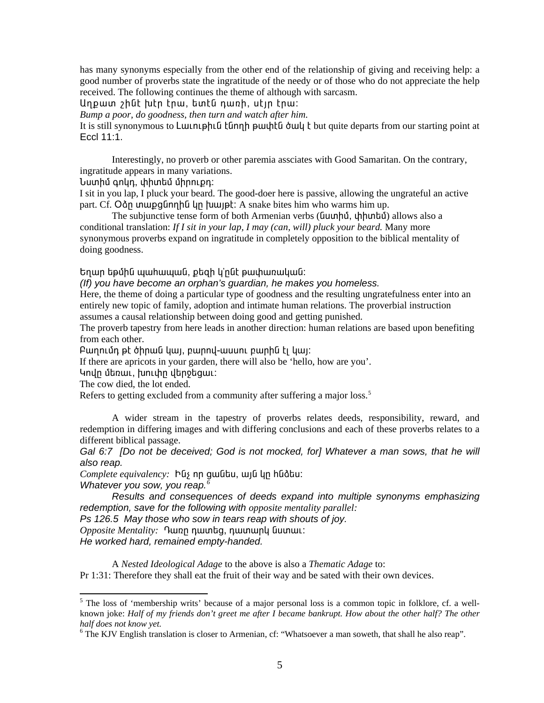has many synonyms especially from the other end of the relationship of giving and receiving help: a good number of proverbs state the ingratitude of the needy or of those who do not appreciate the help received. The following continues the theme of although with sarcasm.

Unpwin <sub>2</sub> huth the, the tuntu nunh, utin thu:

Bump a poor, do goodness, then turn and watch after him.

It is still synonymous to Luun phile tenn b puthtle bull t but quite departs from our starting point at Eccl 11:1.

Interestingly, no proverb or other paremia assciates with Good Samaritan. On the contrary, ingratitude appears in many variations.

Նստիմ գոկդ, փիտեմ միրուքդ։

I sit in you lap, I pluck your beard. The good-doer here is passive, allowing the ungrateful an active part. Cf. On unupgunnhu un humpt: A snake bites him who warms him up.

The subjunctive tense form of both Armenian verbs ( $\alpha$ unhū,  $\alpha$ hhunhū) allows also a conditional translation: If I sit in your lap, I may (can, will) pluck your beard. Many more synonymous proverbs expand on ingratitude in completely opposition to the biblical mentality of doing goodness.

Եղար եթմին պահապան, քեզի կ'ընէ թափառական։

(If) you have become an orphan's guardian, he makes you homeless.

Here, the theme of doing a particular type of goodness and the resulting ungratefulness enter into an entirely new topic of family, adoption and intimate human relations. The proverbial instruction assumes a causal relationship between doing good and getting punished.

The proverb tapestry from here leads in another direction: human relations are based upon benefiting from each other.

Բաղումդ թէ ծիրան կայ, բարով-ասսու բարին էլ կայ։

If there are apricots in your garden, there will also be 'hello, how are you'.

Կովը մեռաւ, խուփը վերջեցաւ։

The cow died, the lot ended.

Refers to getting excluded from a community after suffering a major loss.<sup>5</sup>

A wider stream in the tapestry of proverbs relates deeds, responsibility, reward, and redemption in differing images and with differing conclusions and each of these proverbs relates to a different biblical passage.

Gal 6:7 [Do not be deceived: God is not mocked, for] Whatever a man sows, that he will also reap.

Complete equivalency: bus nn quuutu, wiu qu huddu:

Whatever you sow, you reap. $^6$ 

Results and consequences of deeds expand into multiple synonyms emphasizing redemption, save for the following with opposite mentality parallel:

Ps 126.5 May those who sow in tears reap with shouts of joy.

Opposite Mentality: Դառը դատեց, դատարկ նստաւ:

He worked hard, remained empty-handed.

A Nested Ideological Adage to the above is also a Thematic Adage to: Pr 1:31: Therefore they shall eat the fruit of their way and be sated with their own devices.

<span id="page-4-0"></span><sup>&</sup>lt;sup>5</sup> The loss of 'membership writs' because of a major personal loss is a common topic in folklore, cf. a wellknown joke: Half of my friends don't greet me after I became bankrupt. How about the other half? The other half does not know yet.

<span id="page-4-1"></span> $6$  The KJV English translation is closer to Armenian, cf: "Whatsoever a man soweth, that shall he also reap".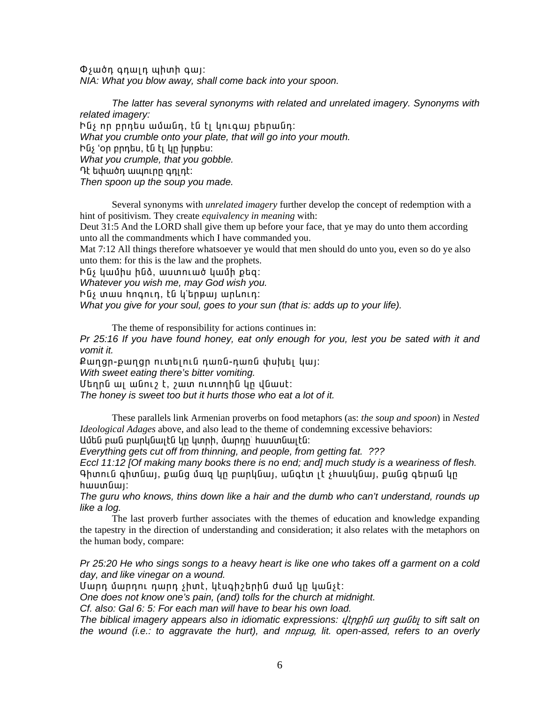$\Phi$ չածդ գդալդ պիտի գայ։ NIA: What you blow away, shall come back into your spoon.

The latter has several synonyms with related and unrelated imagery. Synonyms with related imagery: Ինչ որ բրդես ամանդ, էն էլ կուգալ բերանդ։ What you crumble onto your plate, that will go into your mouth. hūs 'on pnntu, tū tį yn funptu: What you crumple, that you gobble. Դէ եփածդ ապուրը գդլդէ։ Then spoon up the soup you made.

Several synonyms with *unrelated imagery* further develop the concept of redemption with a hint of positivism. They create *equivalency in meaning* with:

Deut 31:5 And the LORD shall give them up before your face, that ye may do unto them according unto all the commandments which I have commanded you.

Mat 7:12 All things therefore whatsoever ye would that men should do unto you, even so do ye also unto them: for this is the law and the prophets.

Ինչ կամիս ինձ, աստուած կամի քեզ:

Whatever you wish me, may God wish you.

hūs mwu hnonth, tū y'thewi wnunth:

What you give for your soul, goes to your sun (that is: adds up to your life).

The theme of responsibility for actions continues in:

Pr 25:16 If you have found honey, eat only enough for you, lest you be sated with it and vomit it.

Քաղցր-քաղցը ուտելուն դառն-դառն փսխել կալ։

With sweet eating there's bitter vomiting.

Մեղրն ալ անուշ է, շատ ուտողին կը վնասէ։

The honey is sweet too but it hurts those who eat a lot of it.

These parallels link Armenian proverbs on food metaphors (as: the soup and spoon) in Nested *Ideological Adages* above, and also lead to the theme of condemning excessive behaviors: Ամեն բան բարկնալէն կը կտրի, մարդը՝ հաստնալէն։

Everything gets cut off from thinning, and people, from getting fat. ???

Eccl 11:12 [Of making many books there is no end; and] much study is a weariness of flesh. Գիտուն գիտնալ, քանց մաց կը բարկնալ, անգէտ լէ չիասկնալ, քանց գերան կը  $hu$ ստնալ։

The guru who knows, thins down like a hair and the dumb who can't understand, rounds up like a log.

The last proverb further associates with the themes of education and knowledge expanding the tapestry in the direction of understanding and consideration; it also relates with the metaphors on the human body, compare:

Pr 25:20 He who sings songs to a heavy heart is like one who takes off a garment on a cold day, and like vinegar on a wound.

Մարդ մարդու դարդ չիտէ, կէսգիշերին ժամ կր կանչէ։

One does not know one's pain, (and) tolls for the church at midnight.

Cf. also: Gal 6: 5: For each man will have to bear his own load.

The biblical imagery appears also in idiomatic expressions: ultnphu un guulty to sift salt on the wound (i.e.: to aggravate the hurt), and *nnpug*, lit. open-assed, refers to an overly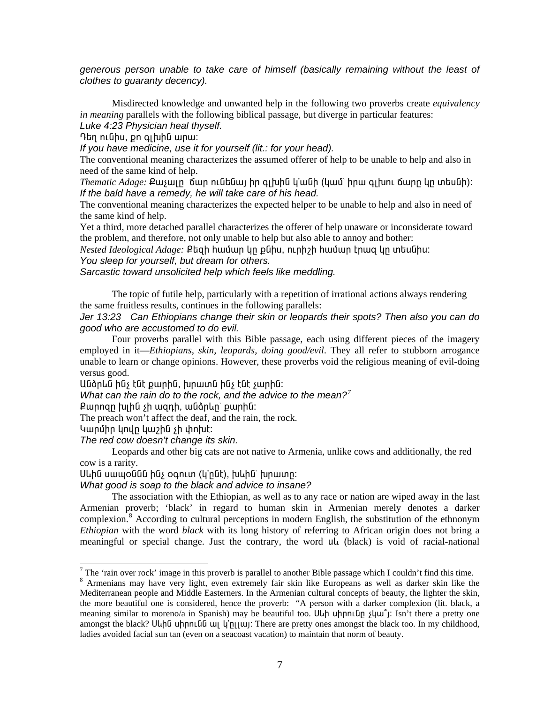generous person unable to take care of himself (basically remaining without the least of clothes to guaranty decency).

Misdirected knowledge and unwanted help in the following two proverbs create equivalency *in meaning* parallels with the following biblical passage, but diverge in particular features: Luke 4:23 Physician heal thyself.

Դեղ ունիս, քո գլխին արա:

If you have medicine, use it for yourself (lit.: for your head).

The conventional meaning characterizes the assumed offerer of help to be unable to help and also in need of the same kind of help.

*Thematic Adage:* Քաչալը ճար ունենալ իր գլխին կ'անի (կամ՝ իրա գլխու ճարը կը տեսնի): If the bald have a remedy, he will take care of his head.

The conventional meaning characterizes the expected helper to be unable to help and also in need of the same kind of help.

Yet a third, more detached parallel characterizes the offerer of help unaware or inconsiderate toward the problem, and therefore, not only unable to help but also able to annoy and bother:

Nested Ideological Adage: Քեզի hամար կր քնիս, ուրիշի hամար էրագ կր տեսնիս: You sleep for yourself, but dream for others.

Sarcastic toward unsolicited help which feels like meddling.

The topic of futile help, particularly with a repetition of irrational actions always rendering the same fruitless results, continues in the following parallels:

Jer 13:23 Can Ethiopians change their skin or leopards their spots? Then also you can do good who are accustomed to do evil.

Four proverbs parallel with this Bible passage, each using different pieces of the imagery employed in it—*Ethiopians, skin, leopards, doing good/evil*. They all refer to stubborn arrogance unable to learn or change opinions. However, these proverbs void the religious meaning of evil-doing versus good.

Անձրեն ինչ էնէ քարին, խրատն ինչ էնէ չարին։

What can the rain do to the rock, and the advice to the mean?<sup>7</sup>

Punngn խլին չի ազդի, անձրևը՝ քարին:

The preach won't affect the deaf, and the rain, the rock.

Կարմիր կովը կաշին չի փոխէ։

The red cow doesn't change its skin.

Leopards and other big cats are not native to Armenia, unlike cows and additionally, the red cow is a rarity.

Սևին սապօննն ինչ օգուտ (կ'րնէ), խևին` խրատր:

What good is soap to the black and advice to insane?

The association with the Ethiopian, as well as to any race or nation are wiped away in the last Armenian proverb; 'black' in regard to human skin in Armenian merely denotes a darker complexion.<sup>8</sup> According to cultural perceptions in modern English, the substitution of the ethnonym *Ethiopian* with the word *black* with its long history of referring to African origin does not bring a meaningful or special change. Just the contrary, the word uu (black) is void of racial-national

<span id="page-6-0"></span> $\frac{7}{7}$  The 'rain over rock' image in this proverb is parallel to another Bible passage which I couldn't find this time.

<span id="page-6-1"></span><sup>8</sup> Armenians may have very light, even extremely fair skin like Europeans as well as darker skin like the Mediterranean people and Middle Easterners. In the Armenian cultural concepts of beauty, the lighter the skin, the more beautiful one is considered, hence the proverb: "A person with a darker complexion (lit. black, a meaning similar to moreno/a in Spanish) may be beautiful too. Uun unnium  $\frac{1}{\mu}$  isn't there a pretty one amongst the black? Uuhū uhnnuūū uu ling unit. There are pretty ones amongst the black too. In my childhood, ladies avoided facial sun tan (even on a seacoast vacation) to maintain that norm of beauty.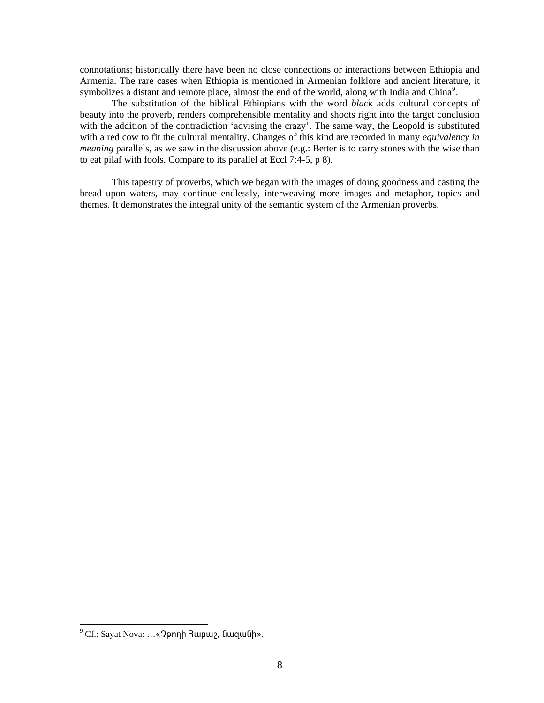connotations; historically there have been no close connections or interactions between Ethiopia and Armenia. The rare cases when Ethiopia is mentioned in Armenian folklore and ancient literature, it symbolizes a distant and remote place, almost the end of the world, along with India and China<sup>9</sup>.

The substitution of the biblical Ethiopians with the word black adds cultural concepts of beauty into the proverb, renders comprehensible mentality and shoots right into the target conclusion with the addition of the contradiction 'advising the crazy'. The same way, the Leopold is substituted with a red cow to fit the cultural mentality. Changes of this kind are recorded in many equivalency in *meaning* parallels, as we saw in the discussion above (e.g.: Better is to carry stones with the wise than to eat pilaf with fools. Compare to its parallel at Eccl 7:4-5, p 8).

This tapestry of proverbs, which we began with the images of doing goodness and casting the bread upon waters, may continue endlessly, interweaving more images and metaphor, topics and themes. It demonstrates the integral unity of the semantic system of the Armenian proverbs.

<span id="page-7-0"></span><sup>&</sup>lt;sup>9</sup> Cf.: Sayat Nova: ... «2pnnh 3wpw2, GwqwGh».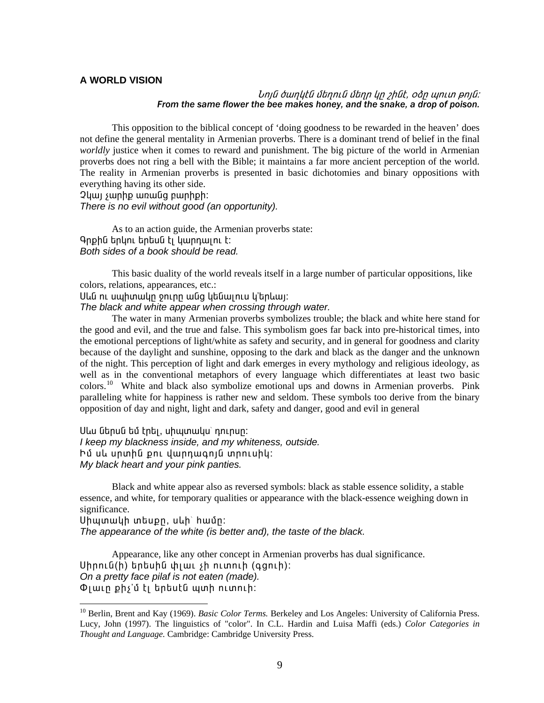### **A WORLD VISION**

### Նոյն ծաղկէն մեղուն մեղր կը շինէ, օձը պուտ բոյն։ From the same flower the bee makes honey, and the snake, a drop of poison.

This opposition to the biblical concept of 'doing goodness to be rewarded in the heaven' does not define the general mentality in Armenian proverbs. There is a dominant trend of belief in the final worldly justice when it comes to reward and punishment. The big picture of the world in Armenian proverbs does not ring a bell with the Bible; it maintains a far more ancient perception of the world. The reality in Armenian proverbs is presented in basic dichotomies and binary oppositions with everything having its other side.

2 yuu suun puntu uu uun ayan badan 2 There is no evil without good (an opportunity).

As to an action guide, the Armenian proverbs state: Գրքին երկու երեսն էլ կարդալու է։ Both sides of a book should be read.

This basic duality of the world reveals itself in a large number of particular oppositions, like colors, relations, appearances, etc.:

Սևն ու սպիտակը ջուրը անց կենալուս կ'երևալ։

The black and white appear when crossing through water.

The water in many Armenian proverbs symbolizes trouble; the black and white here stand for the good and evil, and the true and false. This symbolism goes far back into pre-historical times, into the emotional perceptions of light/white as safety and security, and in general for goodness and clarity because of the daylight and sunshine, opposing to the dark and black as the danger and the unknown of the night. This perception of light and dark emerges in every mythology and religious ideology, as well as in the conventional metaphors of every language which differentiates at least two basic colors.<sup>10</sup> White and black also symbolize emotional ups and downs in Armenian proverbs. Pink paralleling white for happiness is rather new and seldom. These symbols too derive from the binary opposition of day and night, light and dark, safety and danger, good and evil in general

Սևս ներսն եմ էրել, սիպտակս՝ դուրսը։ I keep my blackness inside, and my whiteness, outside. Իմ սև սրտին քու վարդագոյն տրուսիկ։ My black heart and your pink panties.

Black and white appear also as reversed symbols: black as stable essence solidity, a stable essence, and white, for temporary qualities or appearance with the black-essence weighing down in significance.

Սիպտակի տեսքը, սևի՝ համը: The appearance of the white (is better and), the taste of the black.

Appearance, like any other concept in Armenian proverbs has dual significance.  $U$ իրուն(ի) երեսին փլաւ  $\mathfrak h$  ուտուի (գցուի): On a pretty face pilaf is not eaten (made).  $\Phi$ լաւը քիչ'մ էլ երեսէն պտի ուտուի:

<span id="page-8-0"></span><sup>&</sup>lt;sup>10</sup> Berlin, Brent and Kay (1969). Basic Color Terms. Berkeley and Los Angeles: University of California Press. Lucy, John (1997). The linguistics of "color". In C.L. Hardin and Luisa Maffi (eds.) Color Categories in Thought and Language. Cambridge: Cambridge University Press.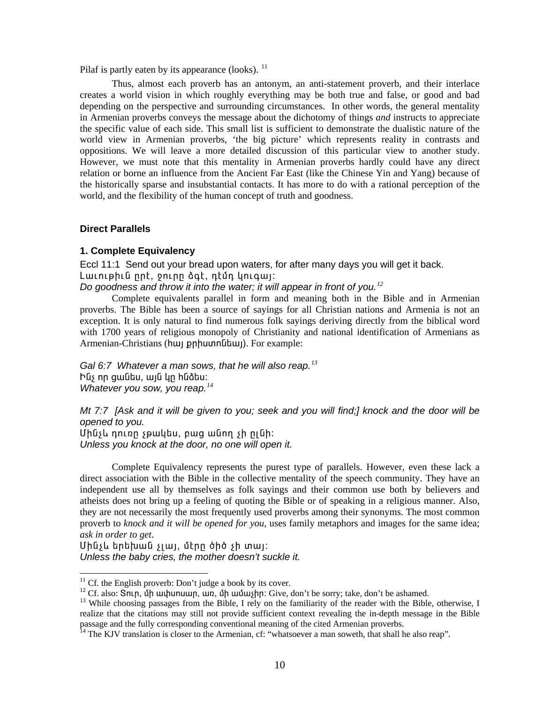Pilaf is partly eaten by its appearance (looks).  $^{11}$ 

Thus, almost each proverb has an antonym, an anti-statement proverb, and their interlace creates a world vision in which roughly everything may be both true and false, or good and bad depending on the perspective and surrounding circumstances. In other words, the general mentality in Armenian proverbs conveys the message about the dichotomy of things *and* instructs to appreciate the specific value of each side. This small list is sufficient to demonstrate the dualistic nature of the world view in Armenian proverbs, 'the big picture' which represents reality in contrasts and oppositions. We will leave a more detailed discussion of this particular view to another study. However, we must note that this mentality in Armenian proverbs hardly could have any direct relation or borne an influence from the Ancient Far East (like the Chinese Yin and Yang) because of the historically sparse and insubstantial contacts. It has more to do with a rational perception of the world, and the flexibility of the human concept of truth and goodness.

### **Direct Parallels**

### 1. Complete Equivalency

Eccl 11:1 Send out your bread upon waters, for after many days you will get it back. Lwiniphia nnt, oninn dat, ntun yniqwj:

Do goodness and throw it into the water; it will appear in front of you.<sup>12</sup>

Complete equivalents parallel in form and meaning both in the Bible and in Armenian proverbs. The Bible has been a source of sayings for all Christian nations and Armenia is not an exception. It is only natural to find numerous folk sayings deriving directly from the biblical word with 1700 years of religious monopoly of Christianity and national identification of Armenians as Armenian-Christians (huy pnhuunnumum). For example:

Gal 6:7 Whatever a man sows, that he will also reap.<sup>13</sup> Ինչ որ ցանես, այն կր հնձես։ Whatever you sow, you reap. $^{14}$ 

Mt 7:7 [Ask and it will be given to you; seek and you will find;] knock and the door will be opened to you.

Uhash nning spulltu, pung wang sh niah: Unless you knock at the door, no one will open it.

Complete Equivalency represents the purest type of parallels. However, even these lack a direct association with the Bible in the collective mentality of the speech community. They have an independent use all by themselves as folk sayings and their common use both by believers and atheists does not bring up a feeling of quoting the Bible or of speaking in a religious manner. Also, they are not necessarily the most frequently used proverbs among their synonyms. The most common proverb to knock and it will be opened for you, uses family metaphors and images for the same idea; ask in order to get.

Մինչև երեխան չլայ, մէրը ծիծ չի տայ։ Unless the baby cries, the mother doesn't suckle it.

<span id="page-9-0"></span> $11$  Cf. the English proverb: Don't judge a book by its cover.

<span id="page-9-1"></span><sup>&</sup>lt;sup>12</sup> Cf. also: SnLp, up uu uu uu m, un, up uu uu lpn: Give, don't be sorry; take, don't be ashamed.

<span id="page-9-2"></span><sup>&</sup>lt;sup>13</sup> While choosing passages from the Bible, I rely on the familiarity of the reader with the Bible, otherwise, I realize that the citations may still not provide sufficient context revealing the in-depth message in the Bible passage and the fully corresponding conventional meaning of the cited Armenian proverbs.<br><sup>14</sup> The KJV translation is closer to the Armenian, cf: "whatsoever a man soweth, that shall he also reap".

<span id="page-9-3"></span>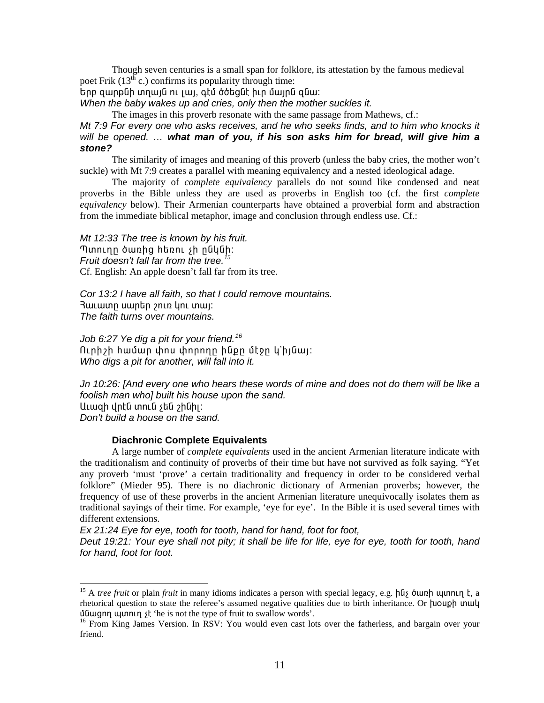Though seven centuries is a small span for folklore, its attestation by the famous medieval poet Frik  $(13<sup>th</sup> c.)$  confirms its popularity through time:

.<br>Երբ զարթնի տղայն ու լայ, գէմ ծծեցնէ իւր մայրն զնա։

When the baby wakes up and cries, only then the mother suckles it.

The images in this proverb resonate with the same passage from Mathews, cf.:

Mt 7:9 For every one who asks receives, and he who seeks finds, and to him who knocks it will be opened. ... what man of you, if his son asks him for bread, will give him a stone?

The similarity of images and meaning of this proverb (unless the baby cries, the mother won't suckle) with Mt 7:9 creates a parallel with meaning equivalency and a nested ideological adage.

The majority of *complete equivalency* parallels do not sound like condensed and neat proverbs in the Bible unless they are used as proverbs in English too (cf. the first *complete* equivalency below). Their Armenian counterparts have obtained a proverbial form and abstraction from the immediate biblical metaphor, image and conclusion through endless use. Cf.:

Mt 12:33 The tree is known by his fruit. Պտուղը ծառից hեռու sh ընկնի: Fruit doesn't fall far from the tree.<sup>15</sup> Cf. English: An apple doesn't fall far from its tree.

Cor 13:2 I have all faith, so that I could remove mountains. 3աւատր սարեր շուռ կու տալ։ The faith turns over mountains.

Job 6:27 Ye dig a pit for your friend.<sup>16</sup> Ուրիշի համար փոս փորողը ինքը մէջը կ'իյնայ: Who digs a pit for another, will fall into it.

Jn 10:26: [And every one who hears these words of mine and does not do them will be like a foolish man who] built his house upon the sand. Աւազի վրէն տուն չեն շինիլ։ Don't build a house on the sand.

## **Diachronic Complete Equivalents**

A large number of *complete equivalents* used in the ancient Armenian literature indicate with the traditionalism and continuity of proverbs of their time but have not survived as folk saying. "Yet any proverb 'must 'prove' a certain traditionality and frequency in order to be considered verbal folklore" (Mieder 95). There is no diachronic dictionary of Armenian proverbs; however, the frequency of use of these proverbs in the ancient Armenian literature unequivocally isolates them as traditional sayings of their time. For example, 'eye for eye'. In the Bible it is used several times with different extensions.

Ex 21:24 Eye for eye, tooth for tooth, hand for hand, foot for foot,

Deut 19:21: Your eye shall not pity; it shall be life for life, eye for eye, tooth for tooth, hand for hand, foot for foot.

<span id="page-10-0"></span><sup>&</sup>lt;sup>15</sup> A *tree fruit* or plain *fruit* in many idioms indicates a person with special legacy, e.g. hus  $\delta$  un h un then  $\epsilon$ , a rhetorical question to state the referee's assumed negative qualities due to birth inheritance. Or **[uouph unule**]  $\delta$  under  $\mu$  under  $\delta$  is not the type of fruit to swallow words'.

<span id="page-10-1"></span><sup>&</sup>lt;sup>16</sup> From King James Version. In RSV: You would even cast lots over the fatherless, and bargain over your friend.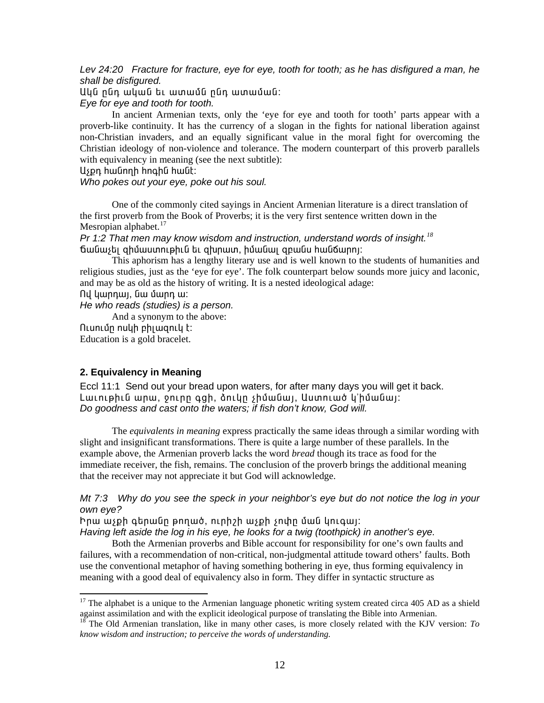*Lev 24:20 Fracture for fracture, eye for eye, tooth for tooth; as he has disfigured a man, he shall be disfigured.* 

Uyն ընդ ական եւ ատամն ընդ ատաման:

*Eye for eye and tooth for tooth.* 

In ancient Armenian texts, only the 'eye for eye and tooth for tooth' parts appear with a proverb-like continuity. It has the currency of a slogan in the fights for national liberation against non-Christian invaders, and an equally significant value in the moral fight for overcoming the Christian ideology of non-violence and tolerance. The modern counterpart of this proverb parallels with equivalency in meaning (see the next subtitle):

Uspn hwūnnh hnahū hwūt:

*Who pokes out your eye, poke out his soul.* 

One of the commonly cited sayings in Ancient Armenian literature is a direct translation of the first proverb from the Book of Proverbs; it is the very first sentence written down in the Mesropian alphabet.<sup>[17](#page-11-0)</sup>

*Pr 1:2 That men may know wisdom and instruction, understand words of insight.[18](#page-11-1)*  ճանաչել զիմաստութիւն եւ զխրատ, իմանալ զբանս հանճարոյ:

This aphorism has a lengthy literary use and is well known to the students of humanities and religious studies, just as the 'eye for eye'. The folk counterpart below sounds more juicy and laconic, and may be as old as the history of writing. It is a nested ideological adage:

nd կարդալ, նա մարդ ա:

*He who reads (studies) is a person.* 

And a synonym to the above: <u>Ուսումը ոսկի բիլազուկ է:</u> Education is a gold bracelet.

# **2. Equivalency in Meaning**

1

Eccl 11:1 Send out your bread upon waters, for after many days you will get it back. Lաւութիւն արա, ջուրը գցի, ձուկը չիմանալ, Աստուած կ'իմանալ: *Do goodness and cast onto the waters; if fish don't know, God will.* 

The *equivalents in meaning* express practically the same ideas through a similar wording with slight and insignificant transformations. There is quite a large number of these parallels. In the example above, the Armenian proverb lacks the word *bread* though its trace as food for the immediate receiver, the fish, remains. The conclusion of the proverb brings the additional meaning that the receiver may not appreciate it but God will acknowledge.

*Mt 7:3 Why do you see the speck in your neighbor's eye but do not notice the log in your own eye?* 

Իրա աչքի գերանը թողած, ուրիշի աչքի չոփը ման կուգայ։ *Having left aside the log in his eye, he looks for a twig (toothpick) in another's eye.* 

Both the Armenian proverbs and Bible account for responsibility for one's own faults and failures, with a recommendation of non-critical, non-judgmental attitude toward others' faults. Both use the conventional metaphor of having something bothering in eye, thus forming equivalency in meaning with a good deal of equivalency also in form. They differ in syntactic structure as

<span id="page-11-0"></span> $17$  The alphabet is a unique to the Armenian language phonetic writing system created circa 405 AD as a shield against assimilation and with the explicit ideological purpose of translating the Bible into Armenian.

<span id="page-11-1"></span><sup>&</sup>lt;sup>18</sup> The Old Armenian translation, like in many other cases, is more closely related with the KJV version: *To know wisdom and instruction; to perceive the words of understanding.*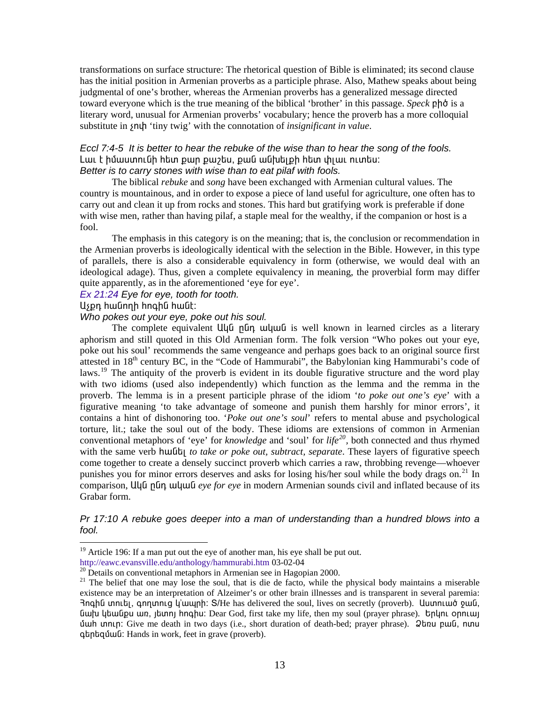transformations on surface structure: The rhetorical question of Bible is eliminated; its second clause has the initial position in Armenian proverbs as a participle phrase. Also, Mathew speaks about being judgmental of one's brother, whereas the Armenian proverbs has a generalized message directed toward everyone which is the true meaning of the biblical 'brother' in this passage. *Speck* **pho** is a literary word, unusual for Armenian proverbs' vocabulary; hence the proverb has a more colloquial substitute in  $\mathfrak{soth}$  'tiny twig' with the connotation of *insignificant in value*.

# *Eccl 7:4-5 It is better to hear the rebuke of the wise than to hear the song of the fools.*  Lաւ է իմաստունի hետ քար քաշես, քան անխելքի hետ փլաւ ուտես։ *Better is to carry stones with wise than to eat pilaf with fools.*

The biblical *rebuke* and *song* have been exchanged with Armenian cultural values. The country is mountainous, and in order to expose a piece of land useful for agriculture, one often has to carry out and clean it up from rocks and stones. This hard but gratifying work is preferable if done with wise men, rather than having pilaf, a staple meal for the wealthy, if the companion or host is a fool.

The emphasis in this category is on the meaning; that is, the conclusion or recommendation in the Armenian proverbs is ideologically identical with the selection in the Bible. However, in this type of parallels, there is also a considerable equivalency in form (otherwise, we would deal with an ideological adage). Thus, given a complete equivalency in meaning, the proverbial form may differ quite apparently, as in the aforementioned 'eye for eye'.

#### *[Ex 21:24](http://www.htmlbible.com/kjv30/B02C021.htm#V24) Eye for eye, tooth for tooth.*

### Uspn hwūnnh hnohū hwūt:

l

### *Who pokes out your eye, poke out his soul.*

The complete equivalent Ulua pun wuluu is well known in learned circles as a literary aphorism and still quoted in this Old Armenian form. The folk version "Who pokes out your eye, poke out his soul' recommends the same vengeance and perhaps goes back to an original source first attested in 18<sup>th</sup> century BC, in the "Code of Hammurabi", the Babylonian king Hammurabi's code of laws.<sup>[19](#page-12-0)</sup> The antiquity of the proverb is evident in its double figurative structure and the word play with two idioms (used also independently) which function as the lemma and the remma in the proverb. The lemma is in a present participle phrase of the idiom '*to poke out one's eye*' with a figurative meaning 'to take advantage of someone and punish them harshly for minor errors', it contains a hint of dishonoring too. '*Poke out one's soul*' refers to mental abuse and psychological torture, lit.; take the soul out of the body. These idioms are extensions of common in Armenian conventional metaphors of 'eye' for *knowledge* and 'soul' for *life[20](#page-12-1),* both connected and thus rhymed with the same verb huilly *to take or poke out, subtract, separate*. These layers of figurative speech come together to create a densely succinct proverb which carries a raw, throbbing revenge—whoever punishes you for minor errors deserves and asks for losing his/her soul while the body drags on.<sup>[21](#page-12-2)</sup> In comparison, Uuu numeled we *in eye for eve* in modern Armenian sounds civil and inflated because of its Grabar form.

# *Pr 17:10 A rebuke goes deeper into a man of understanding than a hundred blows into a fool.*

<span id="page-12-0"></span><sup>&</sup>lt;sup>19</sup> Article 196: If a man put out the eye of another man, his eye shall be put out.<br>http://eawc.evansville.edu/anthology/hammurabi.htm 03-02-04

<span id="page-12-1"></span> $\frac{20}{20}$  $\frac{20}{20}$  $\frac{20}{20}$  Details on conventional metaphors in Armenian see in Hagopian 2000.

<span id="page-12-2"></span><sup>&</sup>lt;sup>21</sup> The belief that one may lose the soul, that is die de facto, while the physical body maintains a miserable existence may be an interpretation of Alzeimer's or other brain illnesses and is transparent in several paremia: Haqhū unuti, quinunuq y'ununh: S/He has delivered the soul, lives on secretly (proverb). Uuunnuuo puuu, Guilu lubu Que in angluki Dear God, first take my life, then my soul (prayer phrase). **Un angluki ύω πραγαιρ**: Give me death in two days (i.e., short duration of death-bed; prayer phrase). Quan pu α, nunu quantiquation Hands in work, feet in grave (proverb).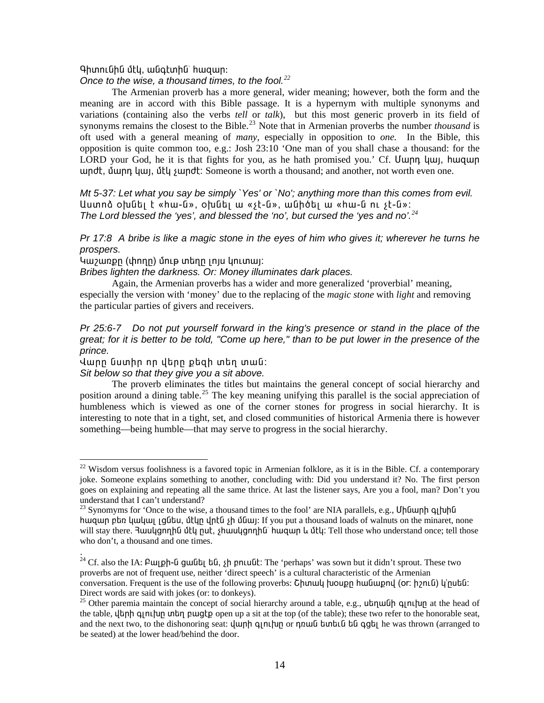### Գիտունին մէկ, անգէտին՝ հացար։

### Once to the wise, a thousand times, to the fool. $^{22}$

The Armenian proverb has a more general, wider meaning; however, both the form and the meaning are in accord with this Bible passage. It is a hypernym with multiple synonyms and variations (containing also the verbs *tell* or *talk*), but this most generic proverb in its field of synonyms remains the closest to the Bible.<sup>23</sup> Note that in Armenian proverbs the number *thousand* is oft used with a general meaning of *many*, especially in opposition to *one*. In the Bible, this opposition is quite common too, e.g.: Josh 23:10 'One man of you shall chase a thousand: for the LORD your God, he it is that fights for you, as he hath promised you.' Cf. Uwnn yuy, hwgwn undt, uunn quu, ut sundt: Someone is worth a thousand; and another, not worth even one.

Mt 5-37: Let what you say be simply `Yes' or `No'; anything more than this comes from evil. Uuunna oխնել է «hw-ն», oխնել ա «st-ն», անիծել ա «hw-ն ու st-ն»: The Lord blessed the 'yes', and blessed the 'no', but cursed the 'yes and no'.<sup>24</sup>

Pr 17:8 A bribe is like a magic stone in the eyes of him who gives it; wherever he turns he prospers.

Կաշառքը (փողը) մութ տեղը լոյս կուտայ։

Bribes lighten the darkness. Or: Money illuminates dark places.

Again, the Armenian proverbs has a wider and more generalized 'proverbial' meaning, especially the version with 'money' due to the replacing of the *magic stone* with *light* and removing the particular parties of givers and receivers.

# Pr 25:6-7 Do not put vourself forward in the king's presence or stand in the place of the great: for it is better to be told. "Come up here." than to be put lower in the presence of the prince.

Վարը նստիր որ վերը քեզի տեղ տան։

#### Sit below so that they give you a sit above.

The proverb eliminates the titles but maintains the general concept of social hierarchy and position around a dining table.<sup>25</sup> The key meaning unifying this parallel is the social appreciation of humbleness which is viewed as one of the corner stones for progress in social hierarchy. It is interesting to note that in a tight, set, and closed communities of historical Armenia there is however something—being humble—that may serve to progress in the social hierarchy.

<span id="page-13-0"></span> $^{22}$  Wisdom versus foolishness is a favored topic in Armenian folklore, as it is in the Bible. Cf. a contemporary joke. Someone explains something to another, concluding with: Did you understand it? No. The first person goes on explaining and repeating all the same thrice. At last the listener says, Are you a fool, man? Don't you understand that I can't understand?

<span id="page-13-1"></span><sup>&</sup>lt;sup>23</sup> Synomyms for 'Once to the wise, a thousand times to the fool' are NIA parallels, e.g., Uhuunh q u huiquin public lumber with the model of the manner of the manner. The manner with the manner of the minaret, none will stay there. Ruulygnnhu utly nut, ¿huulygnnhu huqun lu utly: Tell those who understand once; tell those who don't, a thousand and one times.

<span id="page-13-2"></span><sup>&</sup>lt;sup>24</sup> Cf. also the IA:  $P$ w ph- $G$  quality  $G$ ,  $\phi$  pn u  $G$  is the 'perhaps' was sown but it didn't sprout. These two proverbs are not of frequent use, neither 'direct speech' is a cultural characteristic of the Armenian conversation. Frequent is the use of the following proverbs: Chunull rundler humbles (or: hynull) limit is the Direct words are said with jokes (or: to donkeys).

<span id="page-13-3"></span><sup>&</sup>lt;sup>25</sup> Other paremia maintain the concept of social hierarchy around a table, e.g., ut number q number at the head of the table,  $\mu$ th q n lub q nu q p q q q b open up a sit at the top (of the table); these two refer to the honorable seat, and the next two, to the dishonoring seat:  $\frac{1}{2}$  uph q n l up or n n u b tub in the digeral heads to the was thrown (arranged to be seated) at the lower head/behind the door.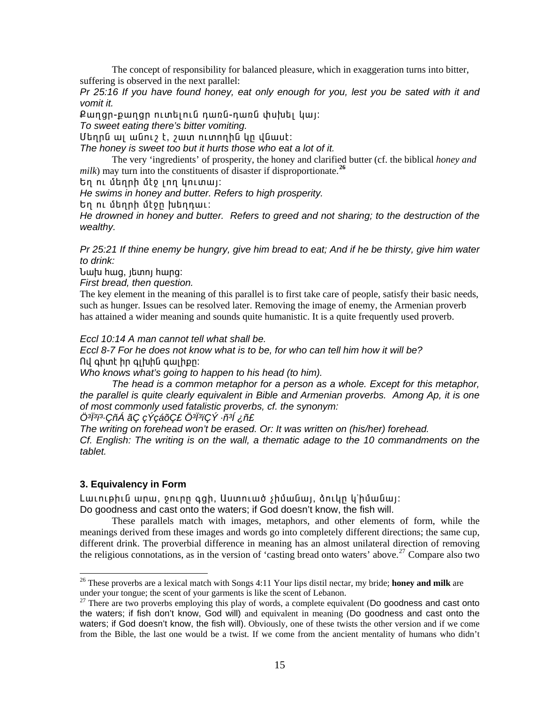The concept of responsibility for balanced pleasure, which in exaggeration turns into bitter, suffering is observed in the next parallel:

Pr 25:16 If you have found honey, eat only enough for you, lest you be sated with it and vomit it.

Քաղցր-քաղցը ուտելուն դառն-դառն փսխել կալ։

To sweet eating there's bitter vomiting.

Մեղրն ալ անուշ է, շատ ուտողին կը վնասէ։

The honey is sweet too but it hurts those who eat a lot of it.

The very 'ingredients' of prosperity, the honey and clarified butter (cf. the biblical honey and milk) may turn into the constituents of disaster if disproportionate.<sup>26</sup>

tn nu մեղրի մէջ լող կուտալ:

He swims in honey and butter. Refers to high prosperity.

Եղ ու մեղրի մէջը խեղդաւ:

He drowned in honey and butter. Refers to greed and not sharing; to the destruction of the wealthy.

Pr 25:21 If thine enemy be hungry, give him bread to eat; And if he be thirsty, give him water to drink:

<u> Նախ hազ, լետոլ hարզ:</u>

First bread, then question.

The key element in the meaning of this parallel is to first take care of people, satisfy their basic needs, such as hunger. Issues can be resolved later. Removing the image of enemy, the Armenian proverb has attained a wider meaning and sounds quite humanistic. It is a quite frequently used proverb.

Eccl 10:14 A man cannot tell what shall be.

Eccl 8-7 For he does not know what is to be, for who can tell him how it will be? Ով գիտէ իր գլխին գալիքը:

Who knows what's going to happen to his head (to him).

The head is a common metaphor for a person as a whole. Except for this metaphor, the parallel is quite clearly equivalent in Bible and Armenian proverbs. Among Ap, it is one of most commonly used fatalistic proverbs, cf. the synonym:

Ö<sup>3</sup>Ï<sup>3</sup>ï3.ÇñÁ ãÇ çÝçáõÇ£ Ö<sup>3Ï3</sup>ïÇÝ ∙ñ<sup>3Í</sup> ¿ñ£

The writing on forehead won't be erased. Or: It was written on (his/her) forehead. Cf. English: The writing is on the wall, a thematic adage to the 10 commandments on the tablet.

# 3. Equivalency in Form

Lաւութիւն արա, ջուրը գցի, Աստուած չիմանայ, ձուկը կ'իմանայ։ Do goodness and cast onto the waters; if God doesn't know, the fish will.

These parallels match with images, metaphors, and other elements of form, while the meanings derived from these images and words go into completely different directions; the same cup, different drink. The proverbial difference in meaning has an almost unilateral direction of removing the religious connotations, as in the version of 'casting bread onto waters' above.<sup>27</sup> Compare also two

<span id="page-14-0"></span><sup>&</sup>lt;sup>26</sup> These proverbs are a lexical match with Songs 4:11 Your lips distil nectar, my bride; **honey and milk** are under your tongue; the scent of your garments is like the scent of Lebanon.

<span id="page-14-1"></span> $^{27}$  There are two proverbs employing this play of words, a complete equivalent (Do goodness and cast onto the waters; if fish don't know, God will) and equivalent in meaning (Do goodness and cast onto the waters; if God doesn't know, the fish will). Obviously, one of these twists the other version and if we come from the Bible, the last one would be a twist. If we come from the ancient mentality of humans who didn't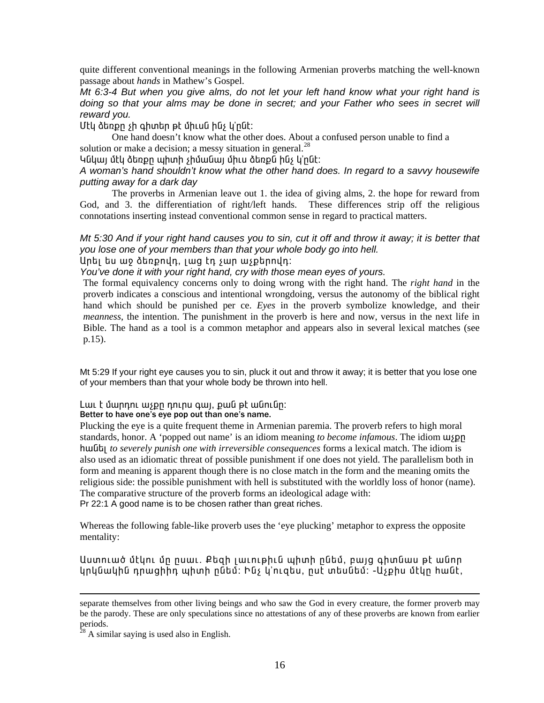quite different conventional meanings in the following Armenian proverbs matching the well-known passage about *hands* in Mathew's Gospel.

Mt 6:3-4 But when you give alms, do not let your left hand know what your right hand is doing so that your alms may be done in secret; and your Father who sees in secret will reward vou.

Uty ծեռքը չի գիտեր թէ միւսն ինչ կ'ընէ:

One hand doesn't know what the other does. About a confused person unable to find a solution or make a decision; a messy situation in general.<sup>28</sup>

Կնկայ մէկ ձեռքը պիտի չիմանայ միւս ձեռքն ինչ կ՚ընէ։

A woman's hand shouldn't know what the other hand does. In regard to a savvy housewife putting away for a dark dav

The proverbs in Armenian leave out 1. the idea of giving alms, 2. the hope for reward from God, and 3. the differentiation of right/left hands. These differences strip off the religious connotations inserting instead conventional common sense in regard to practical matters.

Mt 5:30 And if your right hand causes you to sin, cut it off and throw it away; it is better that you lose one of your members than that your whole body go into hell.

Unti tu աջ ձեռքովդ, լաց էդ չար աչքերովդ։

You've done it with your right hand, cry with those mean eyes of yours.

The formal equivalency concerns only to doing wrong with the right hand. The right hand in the proverb indicates a conscious and intentional wrongdoing, versus the autonomy of the biblical right hand which should be punished per ce. Eyes in the proverb symbolize knowledge, and their *meanness*, the intention. The punishment in the proverb is here and now, versus in the next life in Bible. The hand as a tool is a common metaphor and appears also in several lexical matches (see  $p.15$ ).

Mt 5:29 If your right eye causes you to sin, pluck it out and throw it away; it is better that you lose one of your members than that your whole body be thrown into hell.

# Lաւ է մարդու աչքը դուրս գայ, քան թէ անունը։

### Better to have one's eye pop out than one's name.

Plucking the eve is a quite frequent theme in Armenian paremia. The proverb refers to high moral standards, honor. A 'popped out name' is an idiom meaning to become infamous. The idiom wipp huult to severely punish one with irreversible consequences forms a lexical match. The idiom is also used as an idiomatic threat of possible punishment if one does not yield. The parallelism both in form and meaning is apparent though there is no close match in the form and the meaning omits the religious side: the possible punishment with hell is substituted with the worldly loss of honor (name). The comparative structure of the proverb forms an ideological adage with: Pr 22:1 A good name is to be chosen rather than great riches.

Whereas the following fable-like proverb uses the 'eye plucking' metaphor to express the opposite mentality:

Աստուած մէկու մր րսաւ. Քեզի լաւութիւն պիտի ընեմ, բայց գիտնաս թէ անոր կրկնակին դրացիիդ պիտի ընեմ: Ինչ կ'ուզես, ըսէ տեսնեմ: -Աչքիս մէկը հանէ,

<span id="page-15-0"></span>A similar saying is used also in English.

separate themselves from other living beings and who saw the God in every creature, the former proverb may be the parody. These are only speculations since no attestations of any of these proverbs are known from earlier periods.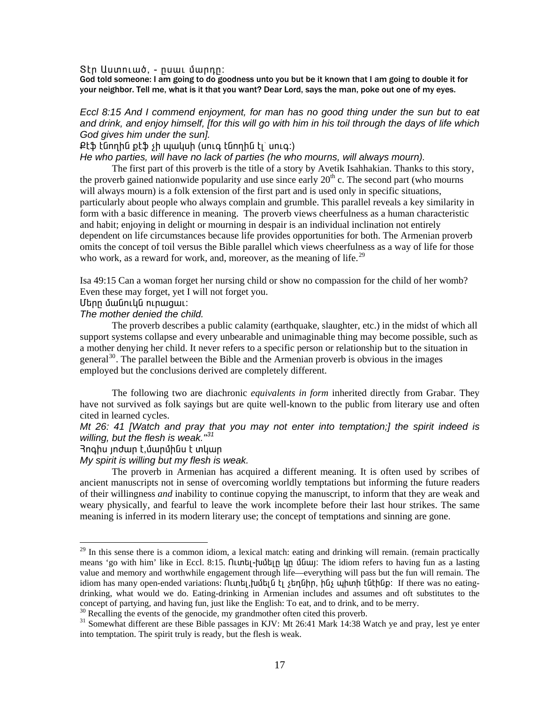Stn Uumniwó, - nuwi մարդը:

God told someone: I am going to do goodness unto you but be it known that I am going to double it for your neighbor. Tell me, what is it that you want? Dear Lord, says the man, poke out one of my eyes.

# Eccl 8:15 And I commend enjoyment, for man has no good thing under the sun but to eat and drink, and enjoy himself, [for this will go with him in his toil through the days of life which God gives him under the sun].

Քէֆ էնողին քէֆ չի պակսի (սուգ էնողին էլ՝ սուգ։)

He who parties, will have no lack of parties (he who mourns, will always mourn).

The first part of this proverb is the title of a story by Avetik Isahhakian. Thanks to this story, the proverb gained nationwide popularity and use since early  $20<sup>th</sup>$  c. The second part (who mourns will always mourn) is a folk extension of the first part and is used only in specific situations, particularly about people who always complain and grumble. This parallel reveals a key similarity in form with a basic difference in meaning. The proverb views cheerfulness as a human characteristic and habit; enjoying in delight or mourning in despair is an individual inclination not entirely dependent on life circumstances because life provides opportunities for both. The Armenian proverb omits the concept of toil versus the Bible parallel which views cheerfulness as a way of life for those who work, as a reward for work, and, moreover, as the meaning of life.<sup>29</sup>

Isa 49:15 Can a woman forget her nursing child or show no compassion for the child of her womb? Even these may forget, yet I will not forget you.

Մերր մանուկն ուրացաւ:

#### The mother denied the child.

The proverb describes a public calamity (earthquake, slaughter, etc.) in the midst of which all support systems collapse and every unbearable and unimaginable thing may become possible, such as a mother denying her child. It never refers to a specific person or relationship but to the situation in general<sup>30</sup>. The parallel between the Bible and the Armenian proverb is obvious in the images employed but the conclusions derived are completely different.

The following two are diachronic *equivalents in form* inherited directly from Grabar. They have not survived as folk sayings but are quite well-known to the public from literary use and often cited in learned cycles.

Mt 26: 41 [Watch and pray that you may not enter into temptation;] the spirit indeed is willing, but the flesh is weak. $"31$ 

Յոգիս յոժար է,մարմինս է տկար

My spirit is willing but my flesh is weak.

The proverb in Armenian has acquired a different meaning. It is often used by scribes of ancient manuscripts not in sense of overcoming worldly temptations but informing the future readers of their willingness *and* inability to continue copying the manuscript, to inform that they are weak and weary physically, and fearful to leave the work incomplete before their last hour strikes. The same meaning is inferred in its modern literary use; the concept of temptations and sinning are gone.

<span id="page-16-0"></span><sup>&</sup>lt;sup>29</sup> In this sense there is a common idiom, a lexical match: eating and drinking will remain. (remain practically means 'go with him' like in Eccl. 8:15. 0unti-tuitin un isoul. The idiom refers to having fun as a lasting value and memory and worthwhile engagement through life—everything will pass but the fun will remain. The idiom has many open-ended variations: [Lunti], [unti] [unti] [but] blist until has until help in the was no eatingdrinking, what would we do. Eating-drinking in Armenian includes and assumes and oft substitutes to the concept of partying, and having fun, just like the English: To eat, and to drink, and to be merry.

<span id="page-16-1"></span><sup>&</sup>lt;sup>30</sup> Recalling the events of the genocide, my grandmother often cited this proverb.

<span id="page-16-2"></span><sup>&</sup>lt;sup>31</sup> Somewhat different are these Bible passages in KJV: Mt 26:41 Mark 14:38 Watch ye and pray, lest ye enter into temptation. The spirit truly is ready, but the flesh is weak.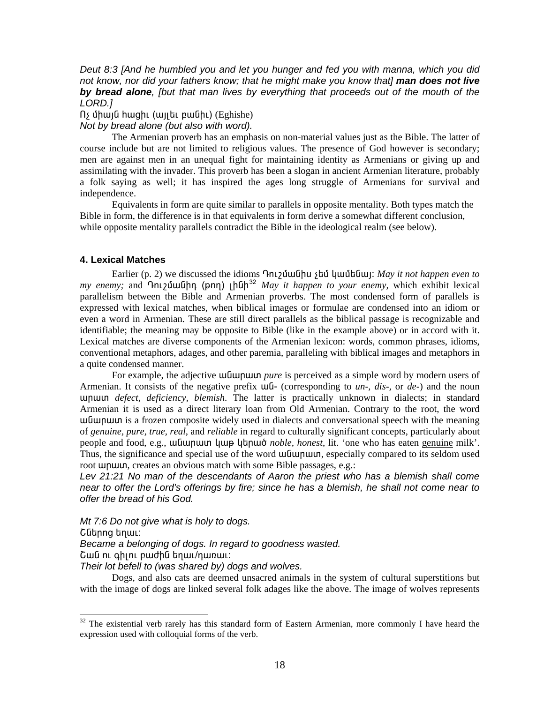Deut 8:3 [And he humbled you and let you hunger and fed you with manna, which you did not know, nor did your fathers know; that he might make you know that] man does not live by bread alone, (but that man lives by everything that proceeds out of the mouth of the LORD.1

 $\int$  միայն hացիւ (այլեւ բանիւ) (Eghishe)

Not by bread alone (but also with word).

The Armenian proverb has an emphasis on non-material values just as the Bible. The latter of course include but are not limited to religious values. The presence of God however is secondary; men are against men in an unequal fight for maintaining identity as Armenians or giving up and assimilating with the invader. This proverb has been a slogan in ancient Armenian literature, probably a folk saying as well; it has inspired the ages long struggle of Armenians for survival and independence.

Equivalents in form are quite similar to parallels in opposite mentality. Both types match the Bible in form, the difference is in that equivalents in form derive a somewhat different conclusion, while opposite mentality parallels contradict the Bible in the ideological realm (see below).

# **4. Lexical Matches**

Earlier (p. 2) we discussed the idioms  $\Omega$ nt  $\Omega$  bubles (quality and the proper even to parallelism between the Bible and Armenian proverbs. The most condensed form of parallels is expressed with lexical matches, when biblical images or formulae are condensed into an idiom or even a word in Armenian. These are still direct parallels as the biblical passage is recognizable and identifiable; the meaning may be opposite to Bible (like in the example above) or in accord with it. Lexical matches are diverse components of the Armenian lexicon: words, common phrases, idioms, conventional metaphors, adages, and other paremia, paralleling with biblical images and metaphors in a quite condensed manner.

For example, the adjective **underlineary** *nure* is perceived as a simple word by modern users of Armenian. It consists of the negative prefix  $\mu$ U<sub>1</sub> (corresponding to un-, dis-, or de-) and the noun unuun *defect, deficiency, blemish*. The latter is practically unknown in dialects; in standard Armenian it is used as a direct literary loan from Old Armenian. Contrary to the root, the word we under the meaning up to ideally used in dialects and conversational speech with the meaning of genuine, pure, true, real, and reliable in regard to culturally significant concepts, particularly about people and food, e.g., ши при при при при при пори пореда, lit. 'one who has eaten genuine milk'. Thus, the significance and special use of the word **unduptum**, especially compared to its seldom used root **unum**, creates an obvious match with some Bible passages, e.g.:

Lev 21:21 No man of the descendants of Aaron the priest who has a blemish shall come near to offer the Lord's offerings by fire; since he has a blemish, he shall not come near to offer the bread of his God.

Mt 7:6 Do not give what is holy to dogs.

Շներոց եղաւ:

Became a belonging of dogs. In regard to goodness wasted.

Շան ու գիլու բաժին եղաւ/դառաւ:

Their lot befell to (was shared by) dogs and wolves.

Dogs, and also cats are deemed unsacred animals in the system of cultural superstitions but with the image of dogs are linked several folk adages like the above. The image of wolves represents

<span id="page-17-0"></span><sup>&</sup>lt;sup>32</sup> The existential verb rarely has this standard form of Eastern Armenian, more commonly I have heard the expression used with colloquial forms of the verb.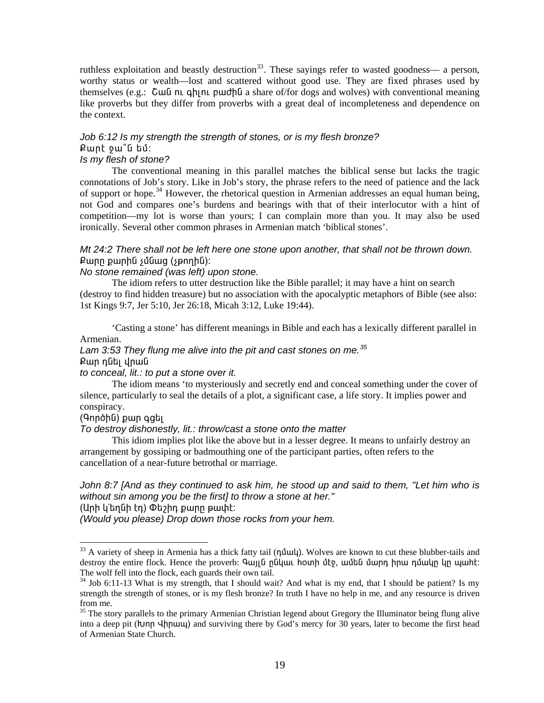ruthless exploitation and beastly destruction<sup>33</sup>. These sayings refer to wasted goodness— a person, worthy status or wealth—lost and scattered without good use. They are fixed phrases used by themselves (e.g.:  $\overline{C}$  cumum  $\alpha$  h  $\alpha$  h  $\alpha$  l  $\alpha$  h  $\alpha$  share of for dogs and wolves) with conventional meaning like proverbs but they differ from proverbs with a great deal of incompleteness and dependence on the context.

# Job 6:12 Is my strength the strength of stones, or is my flesh bronze? Pwnt pw<sup>o</sup>G tu:

# Is my flesh of stone?

The conventional meaning in this parallel matches the biblical sense but lacks the tragic connotations of Job's story. Like in Job's story, the phrase refers to the need of patience and the lack of support or hope.<sup>34</sup> However, the rhetorical question in Armenian addresses an equal human being, not God and compares one's burdens and bearings with that of their interlocutor with a hint of competition—my lot is worse than yours; I can complain more than you. It may also be used ironically. Several other common phrases in Armenian match 'biblical stones'.

# Mt 24:2 There shall not be left here one stone upon another, that shall not be thrown down. Քարը քարին չմնաց (չթողին)։

# No stone remained (was left) upon stone.

The idiom refers to utter destruction like the Bible parallel; it may have a hint on search (destroy to find hidden treasure) but no association with the apocalyptic metaphors of Bible (see also: 1st Kings 9:7, Jer 5:10, Jer 26:18, Micah 3:12, Luke 19:44).

'Casting a stone' has different meanings in Bible and each has a lexically different parallel in Armenian.

# Lam 3:53 They flung me alive into the pit and cast stones on me.<sup>35</sup> Քար դնել վրան

## to conceal, lit.: to put a stone over it.

The idiom means 'to mysteriously and secretly end and conceal something under the cover of silence, particularly to seal the details of a plot, a significant case, a life story. It implies power and conspiracy.

# (Գործին) քար գցել

#### To destroy dishonestly, lit.: throw/cast a stone onto the matter

This idiom implies plot like the above but in a lesser degree. It means to unfairly destroy an arrangement by gossiping or badmouthing one of the participant parties, often refers to the cancellation of a near-future betrothal or marriage.

# John 8:7 [And as they continued to ask him, he stood up and said to them, "Let him who is without sin among you be the first] to throw a stone at her."

(Արի կ՚եղնի էդ) Փեշիդ քարը թափէ։

(Would you please) Drop down those rocks from your hem.

<span id="page-18-0"></span><sup>&</sup>lt;sup>33</sup> A variety of sheep in Armenia has a thick fatty tail (numble). Wolves are known to cut these blubber-tails and destroy the entire flock. Hence the proverb: *Գայլն* ընկաւ hoտի մէջ, ամեն մարդ իրա դմակը կը պահէ: The wolf fell into the flock, each guards their own tail.

<span id="page-18-1"></span><sup>&</sup>lt;sup>34</sup> Job 6:11-13 What is my strength, that I should wait? And what is my end, that I should be patient? Is my strength the strength of stones, or is my flesh bronze? In truth I have no help in me, and any resource is driven from me.

<span id="page-18-2"></span><sup>&</sup>lt;sup>35</sup> The story parallels to the primary Armenian Christian legend about Gregory the Illuminator being flung alive into a deep pit (bunn  $\frac{1}{n}$ muu) and surviving there by God's mercy for 30 years, later to become the first head of Armenian State Church.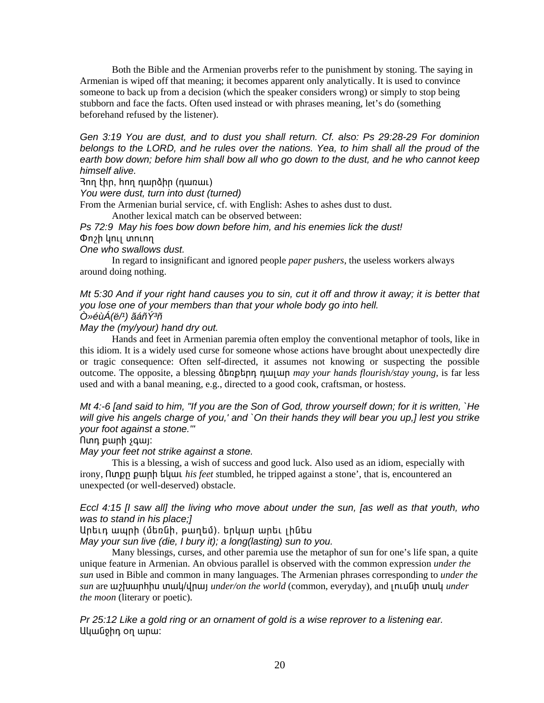Both the Bible and the Armenian proverbs refer to the punishment by stoning. The saying in Armenian is wiped off that meaning; it becomes apparent only analytically. It is used to convince someone to back up from a decision (which the speaker considers wrong) or simply to stop being stubborn and face the facts. Often used instead or with phrases meaning, let's do (something beforehand refused by the listener).

*Gen 3:19 You are dust, and to dust you shall return. Cf. also: Ps 29:28-29 For dominion belongs to the LORD, and he rules over the nations. Yea, to him shall all the proud of the earth bow down; before him shall bow all who go down to the dust, and he who cannot keep himself alive.* 

3nn thn, hnn nundhn (nunuu)

*You were dust, turn into dust (turned)* 

From the Armenian burial service, cf. with English: [Ashes to ashes dust to dust.](http://phrases.shu.ac.uk/meanings/48600.html)

Another lexical match can be observed between:

*Ps 72:9 May his foes bow down before him, and his enemies lick the dust!*  On2h ynu ununn

*One who swallows dust.* 

In regard to insignificant and ignored people *paper pushers*, the useless workers always around doing nothing.

*[Mt 5:3](http://www.htmlbible.com/kjv30/B40C005.htm#V29)0 And if your right hand causes you to sin, cut it off and throw it away; it is better that you lose one of your members than that your whole body go into hell.* 

*Ò»éùÁ(ë/¹) ãáñݳñ* 

*May the (my/your) hand dry out.* 

Hands and feet in Armenian paremia often employ the conventional metaphor of tools, like in this idiom. It is a widely used curse for someone whose actions have brought about unexpectedly dire or tragic consequence: Often self-directed, it assumes not knowing or suspecting the possible outcome. The opposite, a blessing **othogoly nutting** may your hands flourish/stay young, is far less used and with a banal meaning, e.g., directed to a good cook, craftsman, or hostess.

*[Mt 4:-6](http://www.htmlbible.com/kjv30/B40C004.htm#V6) [and said to him, "If you are the Son of God, throw yourself down; for it is written, `He will give his angels charge of you,' and `On their hands they will bear you up,] lest you strike your foot against a stone.'"* 

flunn puinh squi:

*May your feet not strike against a stone.* 

This is a blessing, a wish of success and good luck. Also used as an idiom, especially with irony, **Nunpured by by h h h** *his feet stumbled, he tripped against a stone', that is, encountered an* unexpected (or well-deserved) obstacle.

# *Eccl 4:15 [I saw all] the living who move about under the sun, [as well as that youth, who was to stand in his place;]*

Արեւդ ապրի (մեռնի, թաղեմ). երկար արեւ լինես

*May your sun live (die, I bury it); a long(lasting) sun to you.* 

Many blessings, curses, and other paremia use the metaphor of sun for one's life span, a quite unique feature in Armenian. An obvious parallel is observed with the common expression *under the sun* used in Bible and common in many languages. The Armenian phrases corresponding to *under the sun* are **u**y *pumphistion inder/on the world* (common, everyday), and incumpled *under the moon* (literary or poetic).

*Pr 25:12 Like a gold ring or an ornament of gold is a wise reprover to a listening ear.*  Uywūohn on wnw: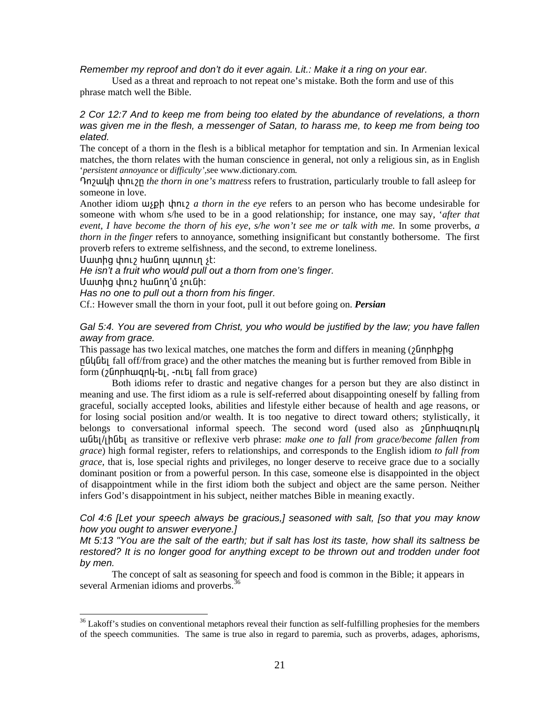*Remember my reproof and don't do it ever again. Lit.: Make it a ring on your ear.* 

Used as a threat and reproach to not repeat one's mistake. Both the form and use of this phrase match well the Bible.

# *2 Cor 12:7 And to keep me from being too elated by the abundance of revelations, a thorn was given me in the flesh, a messenger of Satan, to harass me, to keep me from being too elated.*

The concept of a thorn in the flesh is a biblical metaphor for temptation and sin. In Armenian lexical matches, the thorn relates with the human conscience in general, not only a religious sin, as in English '*persistent annoyance* or *difficulty',*see www.dictionary.com*.*

¸áß³ÏÇ ÷áõßÁ *the thorn in one's mattress* refers to frustration, particularly trouble to fall asleep for someone in love.

Another idiom  $\mu_{\text{S}}$   $\mu_{\text{NL}}$  *a thorn in the eye* refers to an person who has become undesirable for someone with whom s/he used to be in a good relationship; for instance, one may say, '*after that event, I have become the thorn of his eye, s/he won't see me or talk with me.* In some proverbs, *a thorn in the finger* refers to annoyance, something insignificant but constantly bothersome. The first proverb refers to extreme selfishness, and the second, to extreme loneliness.

Uwunhq փnւշ hwūnn պտnւղ չէ:

*He isn't a fruit who would pull out a thorn from one's finger.* 

Մատից փուշ hանող'մ չունի:

l

*Has no one to pull out a thorn from his finger.* 

Cf.: However small the thorn in your foot, pull it out before going on. *Persian*

# *Gal 5:4. You are severed from Christ, you who would be justified by the law; you have fallen away from grace.*

This passage has two lexical matches, one matches the form and differs in meaning  $(2\text{Inphphq})$ nūluut fall of form grace) and the other matches the meaning but is further removed from Bible in form (¿Gnnhwanu-b), -nth fall from grace)

Both idioms refer to drastic and negative changes for a person but they are also distinct in meaning and use. The first idiom as a rule is self-referred about disappointing oneself by falling from graceful, socially accepted looks, abilities and lifestyle either because of health and age reasons, or for losing social position and/or wealth. It is too negative to direct toward others; stylistically, it belongs to conversational informal speech. The second word (used also as  $\delta$  funnhuight uutit<sub>l/[hut]</sub> as transitive or reflexive verb phrase: *make one to fall from grace/become fallen from grace*) high formal register, refers to relationships, and corresponds to the English idiom *to fall from grace*, that is, lose special rights and privileges, no longer deserve to receive grace due to a socially dominant position or from a powerful person. In this case, someone else is disappointed in the object of disappointment while in the first idiom both the subject and object are the same person. Neither infers God's disappointment in his subject, neither matches Bible in meaning exactly.

# *Col 4:6 [Let your speech always be gracious,] seasoned with salt, [so that you may know how you ought to answer everyone.]*

*Mt 5:13 "You are the salt of the earth; but if salt has lost its taste, how shall its saltness be restored? It is no longer good for anything except to be thrown out and trodden under foot by men.* 

The concept of salt as seasoning for speech and food is common in the Bible; it appears in several Armenian idioms and proverbs.<sup>[36](#page-20-0)</sup>

<span id="page-20-0"></span> $36$  Lakoff's studies on conventional metaphors reveal their function as self-fulfilling prophesies for the members of the speech communities. The same is true also in regard to paremia, such as proverbs, adages, aphorisms,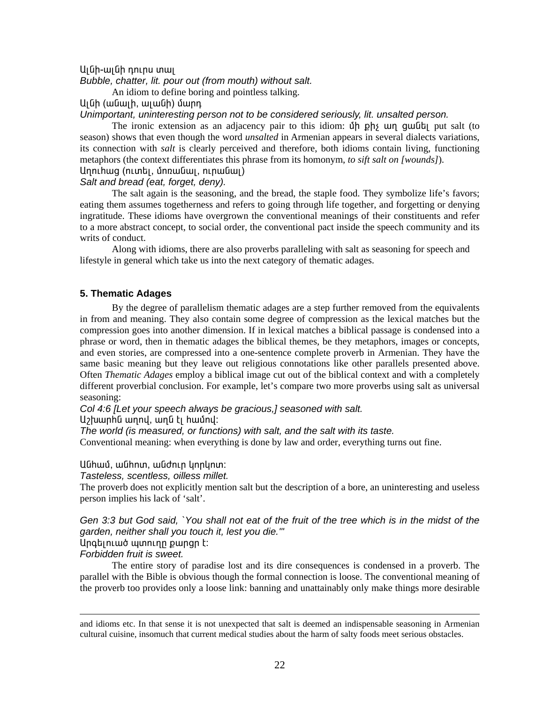#### Lu Gh-wu Gh nn nu muu

*Bubble, chatter, lit. pour out (from mouth) without salt.* 

An idiom to define boring and pointless talking.

Ալնի (անալի, ալանի) մարդ

#### *Unimportant, uninteresting person not to be considered seriously, lit. unsalted person.*

The ironic extension as an adjacency pair to this idiom: Úp ph<sub>2</sub> un guild put salt (to season) shows that even though the word *unsalted* in Armenian appears in several dialects variations, its connection with *salt* is clearly perceived and therefore, both idioms contain living, functioning metaphors (the context differentiates this phrase from its homonym, *to sift salt on [wounds]*). Unnihwg (nimbi, únnwumi, ninwumi)

#### *Salt and bread (eat, forget, deny).*

The salt again is the seasoning, and the bread, the staple food. They symbolize life's favors; eating them assumes togetherness and refers to going through life together, and forgetting or denying ingratitude. These idioms have overgrown the conventional meanings of their constituents and refer to a more abstract concept, to social order, the conventional pact inside the speech community and its writs of conduct.

Along with idioms, there are also proverbs paralleling with salt as seasoning for speech and lifestyle in general which take us into the next category of thematic adages.

# **5. Thematic Adages**

By the degree of parallelism thematic adages are a step further removed from the equivalents in from and meaning. They also contain some degree of compression as the lexical matches but the compression goes into another dimension. If in lexical matches a biblical passage is condensed into a phrase or word, then in thematic adages the biblical themes, be they metaphors, images or concepts, and even stories, are compressed into a one-sentence complete proverb in Armenian. They have the same basic meaning but they leave out religious connotations like other parallels presented above. Often *Thematic Adages* employ a biblical image cut out of the biblical context and with a completely different proverbial conclusion. For example, let's compare two more proverbs using salt as universal seasoning:

*Col 4:6 [Let your speech always be gracious,] seasoned with salt.* 

Աշխարին աղով, աղն էլ համով:

*The world (is measured, or functions) with salt, and the salt with its taste.* 

Conventional meaning: when everything is done by law and order, everything turns out fine.

UGhwu, wGhnun, wGdnun ynnynun:

*Tasteless, scentless, oilless millet.* 

The proverb does not explicitly mention salt but the description of a bore, an uninteresting and useless person implies his lack of 'salt'.

# *Gen 3:3 but God said, `You shall not eat of the fruit of the tree which is in the midst of the garden, neither shall you touch it, lest you die.'"*

# Unatinuuó wunninn pwnan t:

# *Forbidden fruit is sweet.*

l

The entire story of paradise lost and its dire consequences is condensed in a proverb. The parallel with the Bible is obvious though the formal connection is loose. The conventional meaning of the proverb too provides only a loose link: banning and unattainably only make things more desirable

and idioms etc. In that sense it is not unexpected that salt is deemed an indispensable seasoning in Armenian cultural cuisine, insomuch that current medical studies about the harm of salty foods meet serious obstacles.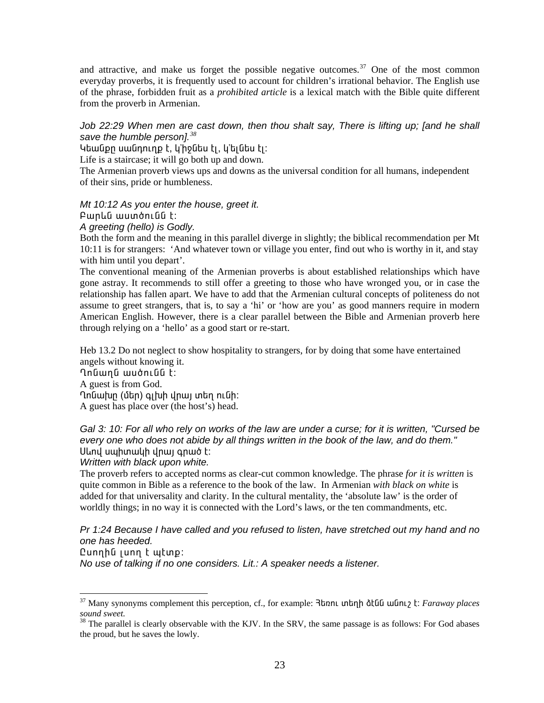and attractive, and make us forget the possible negative outcomes.<sup>37</sup> One of the most common everyday proverbs, it is frequently used to account for children's irrational behavior. The English use of the phrase, forbidden fruit as a *prohibited article* is a lexical match with the Bible quite different from the proverb in Armenian.

# Job 22:29 When men are cast down, then thou shalt say, There is lifting up; [and he shall save the humble person]. $38$

Կեանքը սանդուղք է, կ'իջնես էլ, կ'ելնես էլ։

Life is a staircase; it will go both up and down.

The Armenian proverb views ups and downs as the universal condition for all humans, independent of their sins, pride or humbleness.

Mt 10:12 As you enter the house, greet it. Բարևն աստծունն է:

A greeting (hello) is Godly.

Both the form and the meaning in this parallel diverge in slightly; the biblical recommendation per Mt 10:11 is for strangers: 'And whatever town or village you enter, find out who is worthy in it, and stay with him until you depart'.

The conventional meaning of the Armenian proverbs is about established relationships which have gone astray. It recommends to still offer a greeting to those who have wronged you, or in case the relationship has fallen apart. We have to add that the Armenian cultural concepts of politeness do not assume to greet strangers, that is, to say a 'hi' or 'how are you' as good manners require in modern American English. However, there is a clear parallel between the Bible and Armenian proverb here through relying on a 'hello' as a good start or re-start.

Heb 13.2 Do not neglect to show hospitality to strangers, for by doing that some have entertained angels without knowing it.

nnamna wuonlaa t: A guest is from God. Ղոնախը (մեր) գլխի վրայ տեղ ունի։ A guest has place over (the host's) head.

# Gal 3: 10: For all who rely on works of the law are under a curse; for it is written, "Cursed be every one who does not abide by all things written in the book of the law, and do them." Սևով սպիտակի վրալ գրած է:

Written with black upon white.

The proverb refers to accepted norms as clear-cut common knowledge. The phrase for it is written is quite common in Bible as a reference to the book of the law. In Armenian with black on white is added for that universality and clarity. In the cultural mentality, the 'absolute law' is the order of worldly things; in no way it is connected with the Lord's laws, or the ten commandments, etc.

Pr 1:24 Because I have called and you refused to listen, have stretched out my hand and no one has heeded.

# Cunnhն լսող է պէտք:

No use of talking if no one considers. Lit.: A speaker needs a listener.

<span id="page-22-0"></span> $37$  Many synonyms complement this perception, cf., for example:  $\lambda$ then unting  $\lambda$ t and  $\lambda$  t. Faraway places sound sweet.

<span id="page-22-1"></span><sup>&</sup>lt;sup>38</sup> The parallel is clearly observable with the KJV. In the SRV, the same passage is as follows: For God abases the proud, but he saves the lowly.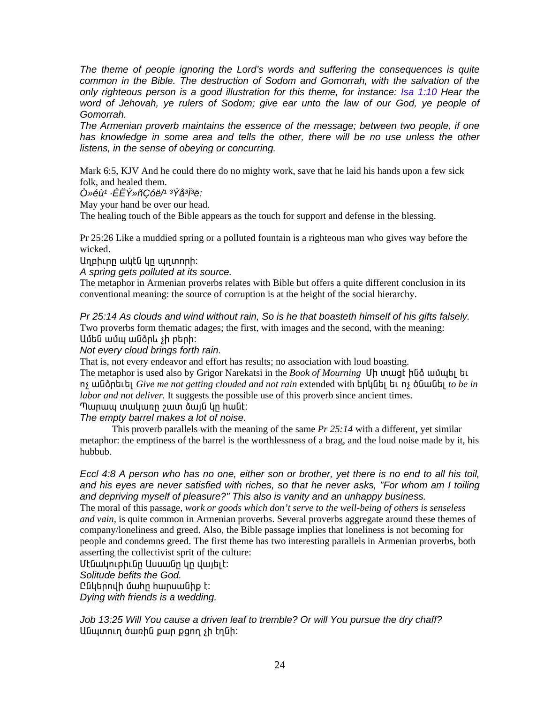*The theme of people ignoring the Lord's words and suffering the consequences is quite common in the Bible. The destruction of Sodom and Gomorrah, with the salvation of the only righteous person is a good illustration for this theme, for instance: [Isa 1:10](http://www.htmlbible.com/asv/B23C001.htm#V10) Hear the*  word of Jehovah, ye rulers of Sodom; give ear unto the law of our God, ye people of *Gomorrah.* 

*The Armenian proverb maintains the essence of the message; between two people, if one*  has knowledge in some area and tells the other, there will be no use unless the other *listens, in the sense of obeying or concurring.* 

Mark 6:5, KJV And he could there do no mighty work, save that he laid his hands upon a few sick folk, and healed them.

*Ò»éù¹ ·ÉËÝ»ñÇóë/¹ ³Ýå³Ï³ë:* 

May your hand be over our head.

The healing touch of the Bible appears as the touch for support and defense in the blessing.

Pr 25:26 Like a muddied spring or a polluted fountain is a righteous man who gives way before the wicked.

Unphinn wutu un wunnnh:

*A spring gets polluted at its source.* 

The metaphor in Armenian proverbs relates with Bible but offers a quite different conclusion in its conventional meaning: the source of corruption is at the height of the social hierarchy.

*Pr 25:14 As clouds and wind without rain, So is he that boasteth himself of his gifts falsely.*  Two proverbs form thematic adages; the first, with images and the second, with the meaning: Uմեն ամպ անձրև sh բերի:

*Not every cloud brings forth rain.* 

That is, not every endeavor and effort has results; no association with loud boasting.

The metaphor is used also by Grigor Narekatsi in the *Book of Mourning* Uh unung humble undung ns wuting the *Give me not getting clouded and not rain* extended with *boluth* by the *ns* of function *to be in labor and not deliver.* It suggests the possible use of this proverb since ancient times.

Պարապ տակառը շատ ձայն կը հանէ։

*The empty barrel makes a lot of noise.* 

This proverb parallels with the meaning of the same *Pr 25:14* with a different, yet similar metaphor: the emptiness of the barrel is the worthlessness of a brag, and the loud noise made by it, his hubbub.

*[Eccl 4:8](http://www.htmlbible.com/kjv30/B21C004.htm#V8) A person who has no one, either son or brother, yet there is no end to all his toil, and his eyes are never satisfied with riches, so that he never asks, "For whom am I toiling and depriving myself of pleasure?" This also is vanity and an unhappy business.* 

The moral of this passage, *work or goods which don't serve to the well-being of others is senseless and vain,* is quite common in Armenian proverbs. Several proverbs aggregate around these themes of company/loneliness and greed. Also, the Bible passage implies that loneliness is not becoming for people and condemns greed. The first theme has two interesting parallels in Armenian proverbs, both asserting the collectivist sprit of the culture:

Մէնակութիւնը Ասսանը կը վայելէ։

*Solitude befits the God.* 

Ընկերովի մահր հարսանիք է:

*Dying with friends is a wedding.* 

*Job 13:25 Will You cause a driven leaf to tremble? Or will You pursue the dry chaff?*  UGwunnin ծառին քար քցող չի էղնի: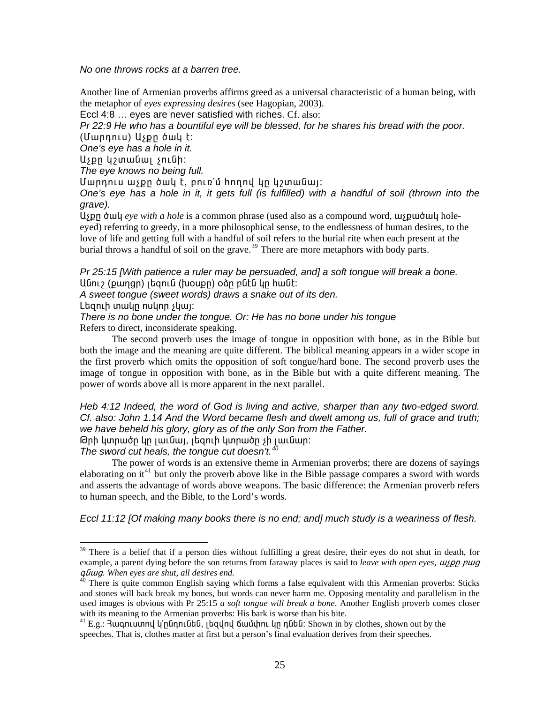*No one throws rocks at a barren tree.* 

Another line of Armenian proverbs affirms greed as a universal characteristic of a human being, with the metaphor of *eyes expressing desires* (see Hagopian, 2003).

[Eccl 4:8](http://www.htmlbible.com/kjv30/B21C004.htm#V8) … eyes are never satisfied with riches. Cf. also:

*[Pr 22:9](http://www.htmlbible.com/kjv30/B20C022.htm#V9) He who has a bountiful eye will be blessed, for he shares his bread with the poor.*  (UwnnnLu) Uspn òwy t:

*One's eye has a hole in it.* 

Աչքը կշտանալ չունի:

*The eye knows no being full.* 

Uwnnnlu wspn ծակ է, բուռ'մ hnnnվ կը կշտանալ:

*One's eye has a hole in it, it gets full (is fulfilled) with a handful of soil (thrown into the grave).* 

ll<sub>i</sub> pp ό μι *eye with a hole* is a common phrase (used also as a compound word, μις pμιό μις holeeyed) referring to greedy, in a more philosophical sense, to the endlessness of human desires, to the love of life and getting full with a handful of soil refers to the burial rite when each present at the burial throws a handful of soil on the grave.<sup>[39](#page-24-0)</sup> There are more metaphors with body parts.

*Pr 25:15 [With patience a ruler may be persuaded, and] a soft tongue will break a bone.*  UGni (pungn) itania (tuoupn) oàn pata yn hungt:

*A sweet tongue (sweet words) draws a snake out of its den.* 

Ltignth mulin nulinn sluuj:

l

*There is no bone under the tongue. Or: He has no bone under his tongue* 

Refers to direct, inconsiderate speaking.

The second proverb uses the image of tongue in opposition with bone, as in the Bible but both the image and the meaning are quite different. The biblical meaning appears in a wider scope in the first proverb which omits the opposition of soft tongue/hard bone. The second proverb uses the image of tongue in opposition with bone, as in the Bible but with a quite different meaning. The power of words above all is more apparent in the next parallel.

*Heb 4:12 Indeed, the word of God is living and active, sharper than any two-edged sword. Cf. also: John 1.14 And the Word became flesh and dwelt among us, full of grace and truth; we have beheld his glory, glory as of the only Son from the Father.*   $\Theta$ րի կտրածը կը լաւնալ, լեզուի կտրածը չի լաւնար:

*The sword cut heals, the tongue cut doesn't.[40](#page-24-1)*

The power of words is an extensive theme in Armenian proverbs; there are dozens of sayings elaborating on it<sup>[41](#page-24-2)</sup> but only the proverb above like in the Bible passage compares a sword with words and asserts the advantage of words above weapons. The basic difference: the Armenian proverb refers to human speech, and the Bible, to the Lord's words.

*Eccl 11:12 [Of making many books there is no end; and] much study is a weariness of flesh.* 

<span id="page-24-0"></span><sup>&</sup>lt;sup>39</sup> There is a belief that if a person dies without fulfilling a great desire, their eyes do not shut in death, for example, a parent dying before the son returns from faraway places is said to *leave with open eyes, ul*<sub>2</sub>*p pug q Guug. When eyes are shut, all desires end.* 

<span id="page-24-1"></span><sup>&</sup>lt;sup>0</sup> There is quite common English saying which forms a false equivalent with this Armenian proverbs: Sticks and stones will back break my bones, but words can never harm me. Opposing mentality and parallelism in the used images is obvious with Pr 25:15 *a soft tongue will break a bone*. Another English proverb comes closer with its meaning to the Armenian proverbs: His bark is worse than his bite.

<span id="page-24-2"></span> $^{41}$  E.g.: 3ագուստով կ՚ընդունեն, լեզվով ճամփու կը դնեն: Shown in by clothes, shown out by the speeches. That is, clothes matter at first but a person's final evaluation derives from their speeches.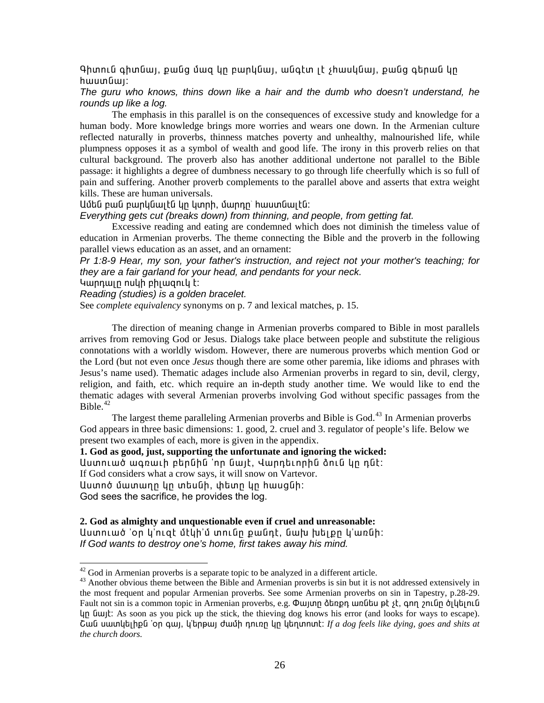Գիտուն գիտնալ, քանց մազ կը բարկնալ, անգէտ լէ չիասկնալ, քանց գերան կը  $h$ աստնայ։

# The guru who knows, thins down like a hair and the dumb who doesn't understand, he rounds up like a log.

The emphasis in this parallel is on the consequences of excessive study and knowledge for a human body. More knowledge brings more worries and wears one down. In the Armenian culture reflected naturally in proverbs, thinness matches poverty and unhealthy, malnourished life, while plumpness opposes it as a symbol of wealth and good life. The irony in this proverb relies on that cultural background. The proverb also has another additional undertone not parallel to the Bible passage: it highlights a degree of dumbness necessary to go through life cheerfully which is so full of pain and suffering. Another proverb complements to the parallel above and asserts that extra weight kills. These are human universals.

### Ամեն բան բարկնալէն կը կտրի, մարդը՝ հաստնալէն։

# Everything gets cut (breaks down) from thinning, and people, from getting fat.

Excessive reading and eating are condemned which does not diminish the timeless value of education in Armenian proverbs. The theme connecting the Bible and the proverb in the following parallel views education as an asset, and an ornament:

Pr 1:8-9 Hear, my son, your father's instruction, and reject not your mother's teaching; for they are a fair garland for your head, and pendants for your neck.

Կարդալը ոսկի բիլացուկ է:

Reading (studies) is a golden bracelet.

See *complete equivalency* synonyms on p. 7 and lexical matches, p. 15.

The direction of meaning change in Armenian proverbs compared to Bible in most parallels arrives from removing God or Jesus. Dialogs take place between people and substitute the religious connotations with a worldly wisdom. However, there are numerous proverbs which mention God or the Lord (but not even once *Jesus* though there are some other paremia, like idioms and phrases with Jesus's name used). Thematic adages include also Armenian proverbs in regard to sin, devil, clergy, religion, and faith, etc. which require an in-depth study another time. We would like to end the thematic adages with several Armenian proverbs involving God without specific passages from the Bible. $42$ 

The largest theme paralleling Armenian proverbs and Bible is God.<sup>43</sup> In Armenian proverbs God appears in three basic dimensions: 1. good, 2. cruel and 3. regulator of people's life. Below we present two examples of each, more is given in the appendix.

1. God as good, just, supporting the unfortunate and ignoring the wicked: Աստուած ագռաւի բերնին 'որ նայէ, Վարդեւորին ձուն կր դնէ։ If God considers what a crow says, it will snow on Vartevor. Աստոծ մատաղը կը տեսնի, փետը կը հասցնի։ God sees the sacrifice, he provides the log.

#### 2. God as almighty and unquestionable even if cruel and unreasonable:

Աստուած 'օր կ'ուզէ մէկի'մ տունը քանդէ, նախ խելքը կ'առնի։ If God wants to destroy one's home, first takes away his mind.

<span id="page-25-0"></span> $42$  God in Armenian proverbs is a separate topic to be analyzed in a different article.

<span id="page-25-1"></span><sup>&</sup>lt;sup>43</sup> Another obvious theme between the Bible and Armenian proverbs is sin but it is not addressed extensively in the most frequent and popular Armenian proverbs. See some Armenian proverbs on sin in Tapestry, p.28-29. Fault not sin is a common topic in Armenian proverbs, e.g. Φωμη διστρη ωπί του εί γι, απή για τη σημιτισή είνα  $\mu$  [u|  $\mu$ ]. As soon as you pick up the stick, the thieving dog knows his error (and looks for ways to escape). Cան սատկելիքն 'on գայ, կ'երթայ ժամի դուռը կը կեղտոտէ: If a dog feels like dying, goes and shits at the church doors.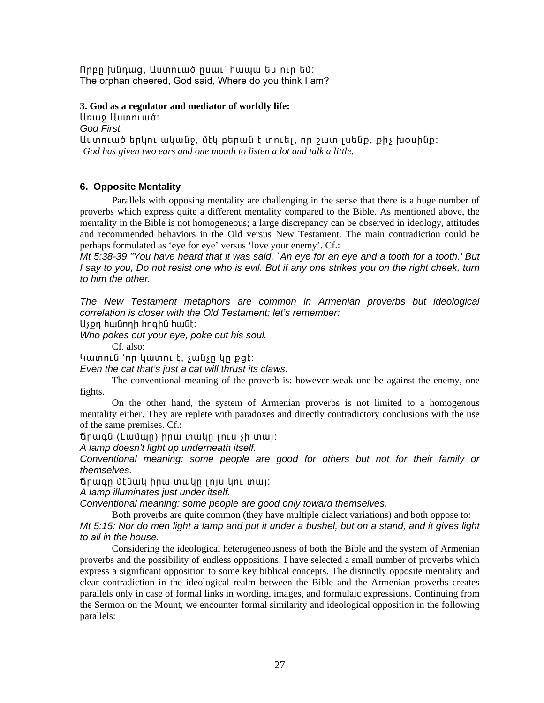Որբր խնդաց, Աստուած ըսաւ՝ հապա ես ուր եմ։ The orphan cheered, God said, Where do you think I am?

3. God as a regulator and mediator of worldly life:

Unwo Uuunnlwó: God First. Աստուած երկու ականջ, մէկ բերան է տուել, որ շատ լսենք, քիչ խօսինք։ God has given two ears and one mouth to listen a lot and talk a little.

# 6. Opposite Mentality

Parallels with opposing mentality are challenging in the sense that there is a huge number of proverbs which express quite a different mentality compared to the Bible. As mentioned above, the mentality in the Bible is not homogeneous; a large discrepancy can be observed in ideology, attitudes and recommended behaviors in the Old versus New Testament. The main contradiction could be perhaps formulated as 'eye for eye' versus 'love your enemy'. Cf.:

Mt 5:38-39 "You have heard that it was said, `An eye for an eye and a tooth for a tooth.' But I say to you, Do not resist one who is evil. But if any one strikes you on the right cheek, turn to him the other.

The New Testament metaphors are common in Armenian proverbs but ideological correlation is closer with the Old Testament; let's remember:

Աչքդ հանողի հոգին հանէ։

Who pokes out your eye, poke out his soul.

Cf. also:

Կատուն 'որ կատու է, չանչը կը քցէ:

Even the cat that's just a cat will thrust its claws.

The conventional meaning of the proverb is: however weak one be against the enemy, one fights.

On the other hand, the system of Armenian proverbs is not limited to a homogenous mentality either. They are replete with paradoxes and directly contradictory conclusions with the use of the same premises. Cf.:

ճրագն (Լամպր) իրա տակը լուս չի տայ։

A lamp doesn't light up underneath itself.

Conventional meaning: some people are good for others but not for their family or themselves.

ճրագը մէնակ իրա տակը լոյս կու տալ։

A lamp illuminates just under itself.

Conventional meaning: some people are good only toward themselves.

Both proverbs are quite common (they have multiple dialect variations) and both oppose to: Mt 5:15: Nor do men light a lamp and put it under a bushel, but on a stand, and it gives light to all in the house.

Considering the ideological heterogeneousness of both the Bible and the system of Armenian proverbs and the possibility of endless oppositions, I have selected a small number of proverbs which express a significant opposition to some key biblical concepts. The distinctly opposite mentality and clear contradiction in the ideological realm between the Bible and the Armenian proverbs creates parallels only in case of formal links in wording, images, and formulaic expressions. Continuing from the Sermon on the Mount, we encounter formal similarity and ideological opposition in the following parallels: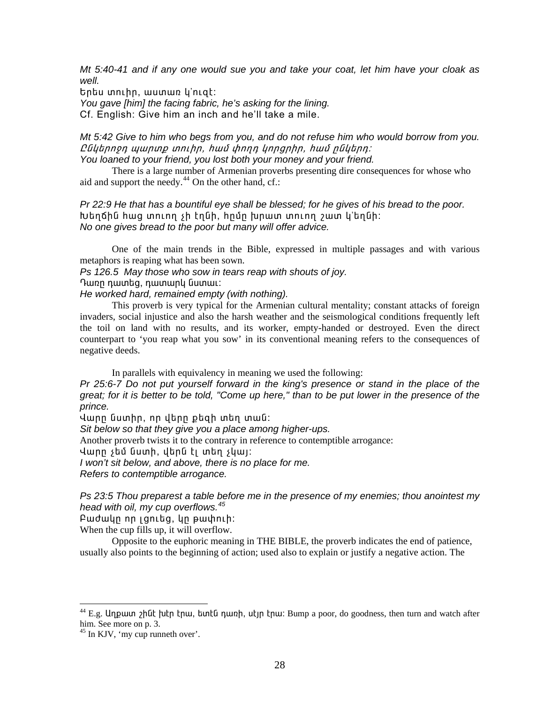*Mt 5:40-41 and if any one would sue you and take your coat, let him have your cloak as well.* 

bnbu unuhn, wuunwn y'nigt:

*You gave [him] the facing fabric, he's asking for the lining.* 

Cf. English: Give him an inch and he'll take a mile.

*Mt 5:42 Give to him who begs from you, and do not refuse him who would borrow from you.*  CGytnnen wwnung unuhn, hwu yhnnn ynngnhn, hwu nGytnn: *You loaned to your friend, you lost both your money and your friend.* 

There is a large number of Armenian proverbs presenting dire consequences for whose who aid and support the needy. $44$  On the other hand, cf.:

*[Pr 22:9](http://www.htmlbible.com/kjv30/B20C022.htm#V9) He that has a bountiful eye shall be blessed; for he gives of his bread to the poor.*   $b$ երճին hաց տուող չի էղնի, իրմը խրատ տուող շատ կ'եղնի: *No one gives bread to the poor but many will offer advice.* 

One of the main trends in the Bible, expressed in multiple passages and with various metaphors is reaping what has been sown.

*Ps 126.5 May those who sow in tears reap with shouts of joy.* 

Դառը դատեզ, դատարկ նստաւ:

*He worked hard, remained empty (with nothing).* 

This proverb is very typical for the Armenian cultural mentality; constant attacks of foreign invaders, social injustice and also the harsh weather and the seismological conditions frequently left the toil on land with no results, and its worker, empty-handed or destroyed. Even the direct counterpart to 'you reap what you sow' in its conventional meaning refers to the consequences of negative deeds.

In parallels with equivalency in meaning we used the following:

*Pr 25:6-7 Do not put yourself forward in the king's presence or stand in the place of the great; for it is better to be told, "Come up here," than to be put lower in the presence of the prince.* 

umn նստիր, որ վերը քեզի տեղ տան:

*Sit below so that they give you a place among higher-ups.* 

Another proverb twists it to the contrary in reference to contemptible arrogance:

 $\frac{1}{2}$ unn stú Gumh, dtna ti mtn symi:

*I won't sit below, and above, there is no place for me.* 

*Refers to contemptible arrogance.* 

*Ps 23:5 Thou preparest a table before me in the presence of my enemies; thou anointest my head with oil, my cup overflows.[45](#page-27-1)*

Fwdwyn nn jantha, yn pwynih:

When the cup fills up, it will overflow.

Opposite to the euphoric meaning in THE BIBLE, the proverb indicates the end of patience, usually also points to the beginning of action; used also to explain or justify a negative action. The

l

<span id="page-27-0"></span><sup>&</sup>lt;sup>44</sup> E.g. Unpuun 2hūt huth thu, buntū nunh, utjn thu: Bump a poor, do goodness, then turn and watch after him. See more on p. 3.

<span id="page-27-1"></span> $45$  In KJV, 'my cup runneth over'.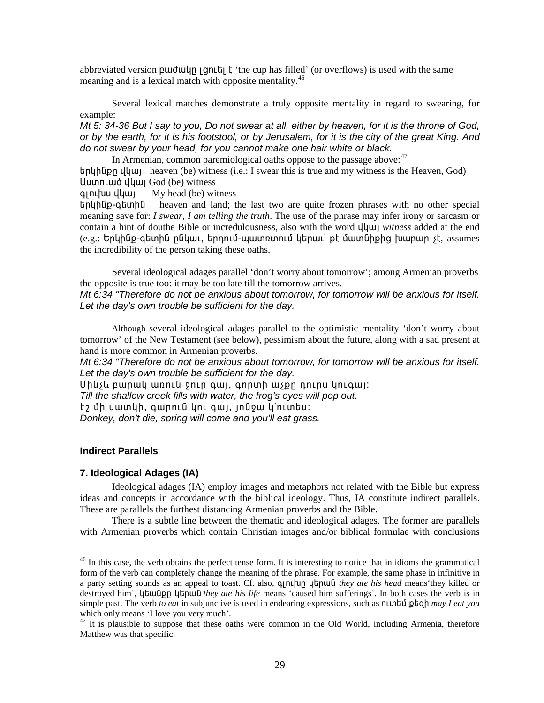abbreviated version purdulup [gnLb] k 'the cup has filled' (or overflows) is used with the same meaning and is a lexical match with opposite mentality.<sup>46</sup>

Several lexical matches demonstrate a truly opposite mentality in regard to swearing, for example:

Mt 5: 34-36 But I say to you, Do not swear at all, either by heaven, for it is the throne of God, or by the earth, for it is his footstool, or by Jerusalem, for it is the city of the great King. And do not swear by your head, for you cannot make one hair white or black.

In Armenian, common paremiological oaths oppose to the passage above:<sup>47</sup>  $b$  the theory of the Heaven (be) witness (i.e.: I swear this is true and my witness is the Heaven, God) Uuunnuuot uluuu God (be) witness

qınıfuu yyun My head (be) witness

երկինք-գետին heaven and land; the last two are quite frozen phrases with no other special meaning save for: *I swear, I am telling the truth*. The use of the phrase may infer irony or sarcasm or contain a hint of douthe Bible or incredulousness, also with the word  $\mathcal{U}[\mathcal{U}]$  with ess added at the end (e.g.: Երկինք-գետին ընկաւ, երդում-պատռտում կերաւ՝ թէ մատնիքից խաբար չէ, assumes the incredibility of the person taking these oaths.

Several ideological adages parallel 'don't worry about tomorrow'; among Armenian proverbs the opposite is true too: it may be too late till the tomorrow arrives.

Mt 6:34 "Therefore do not be anxious about tomorrow, for tomorrow will be anxious for itself. Let the day's own trouble be sufficient for the day.

Although several ideological adages parallel to the optimistic mentality 'don't worry about tomorrow' of the New Testament (see below), pessimism about the future, along with a sad present at hand is more common in Armenian proverbs.

Mt 6:34 "Therefore do not be anxious about tomorrow, for tomorrow will be anxious for itself. Let the day's own trouble be sufficient for the day.

Uhusu pwnwy wnniu onin gwi, gnnuh wspn nninu ynigwi:

Till the shallow creek fills with water, the frog's eyes will pop out.

 $t$ , մի սատկի, գարուն կու գայ, յոնջա կ'ուտես:

Donkey, don't die, spring will come and you'll eat grass.

## **Indirect Parallels**

#### 7. Ideological Adages (IA)

Ideological adages (IA) employ images and metaphors not related with the Bible but express ideas and concepts in accordance with the biblical ideology. Thus, IA constitute indirect parallels. These are parallels the furthest distancing Armenian proverbs and the Bible.

There is a subtle line between the thematic and ideological adages. The former are parallels with Armenian proverbs which contain Christian images and/or biblical formulae with conclusions

<span id="page-28-0"></span> $46$  In this case, the verb obtains the perfect tense form. It is interesting to notice that in idioms the grammatical form of the verb can completely change the meaning of the phrase. For example, the same phase in infinitive in a party setting sounds as an appeal to toast. Cf. also, q n u up up up they ate his head means they killed or destroyed him', lub lung lub lub lub w ate his life means 'caused him sufferings'. In both cases the verb is in simple past. The verb to eat in subjunctive is used in endearing expressions, such as number planet planet you which only means 'I love you very much'.

<span id="page-28-1"></span><sup>&</sup>lt;sup>47</sup> It is plausible to suppose that these oaths were common in the Old World, including Armenia, therefore Matthew was that specific.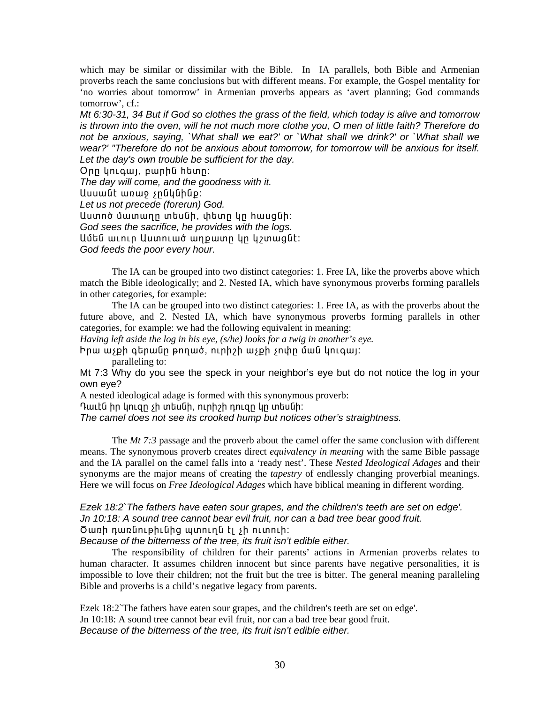which may be similar or dissimilar with the Bible. In IA parallels, both Bible and Armenian proverbs reach the same conclusions but with different means. For example, the Gospel mentality for 'no worries about tomorrow' in Armenian proverbs appears as 'avert planning; God commands tomorrow', cf.:

Mt 6:30-31, 34 But if God so clothes the grass of the field, which today is alive and tomorrow is thrown into the oven, will he not much more clothe you, O men of little faith? Therefore do not be anxious, saying, `What shall we eat?' or `What shall we drink?' or `What shall we wear?' "Therefore do not be anxious about tomorrow, for tomorrow will be anxious for itself. Let the day's own trouble be sufficient for the day.

Onn yniqwi, pwnha htinn:

The day will come, and the goodness with it.

Uuuwut wnwo snuuuhup:

Let us not precede (forerun) God.

Uuտnծ մատաղը տեսնի, փետը կը hասցնի:

God sees the sacrifice, he provides with the logs.

Ամեն աւուր Աստուած աղքատր կր կշտացնէ։

God feeds the poor every hour.

The IA can be grouped into two distinct categories: 1. Free IA, like the proverbs above which match the Bible ideologically; and 2. Nested IA, which have synonymous proverbs forming parallels in other categories, for example:

The IA can be grouped into two distinct categories: 1. Free IA, as with the proverbs about the future above, and 2. Nested IA, which have synonymous proverbs forming parallels in other categories, for example: we had the following equivalent in meaning:

Having left aside the log in his eye,  $(s/\hbar e)$  looks for a twig in another's eye.

Իրա աչքի գերանը թողած, ուրիշի աչքի չոփը ման կուգայ։

paralleling to:

Mt 7:3 Why do you see the speck in your neighbor's eye but do not notice the log in your own eve?

A nested ideological adage is formed with this synonymous proverb:

Դաւէն իր կուզը չի տեսնի, ուրիշի դուզը կը տեսնի։

The camel does not see its crooked hump but notices other's straightness.

The  $Mt$  7:3 passage and the proverb about the camel offer the same conclusion with different means. The synonymous proverb creates direct *equivalency in meaning* with the same Bible passage and the IA parallel on the camel falls into a 'ready nest'. These Nested Ideological Adages and their synonyms are the major means of creating the *tapestry* of endlessly changing proverbial meanings. Here we will focus on *Free Ideological Adages* which have biblical meaning in different wording.

# Ezek 18:2`The fathers have eaten sour grapes, and the children's teeth are set on edge'. Jn 10:18: A sound tree cannot bear evil fruit, nor can a bad tree bear good fruit. Ծառի դառնութիւնից պտուղն էլ չի ուտուի:

Because of the bitterness of the tree, its fruit isn't edible either.

The responsibility of children for their parents' actions in Armenian proverbs relates to human character. It assumes children innocent but since parents have negative personalities, it is impossible to love their children; not the fruit but the tree is bitter. The general meaning paralleling Bible and proverbs is a child's negative legacy from parents.

Ezek 18:2 The fathers have eaten sour grapes, and the children's teeth are set on edge'. Jn 10:18: A sound tree cannot bear evil fruit, nor can a bad tree bear good fruit. Because of the bitterness of the tree, its fruit isn't edible either.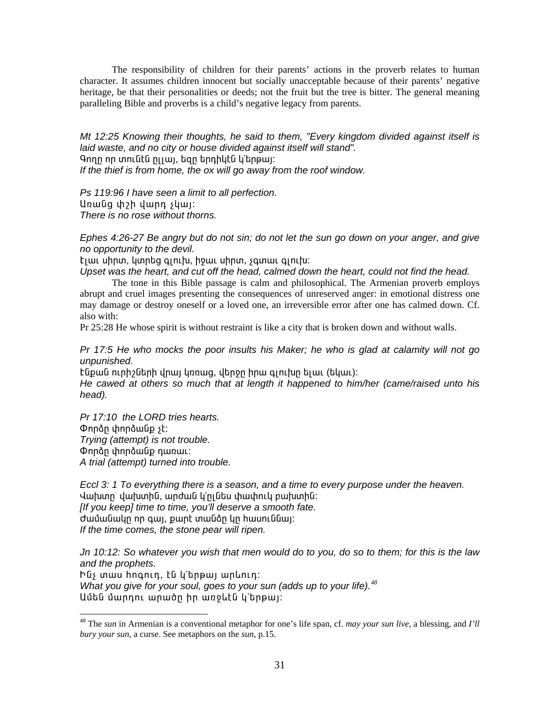The responsibility of children for their parents' actions in the proverb relates to human character. It assumes children innocent but socially unacceptable because of their parents' negative heritage, be that their personalities or deeds; not the fruit but the tree is bitter. The general meaning paralleling Bible and proverbs is a child's negative legacy from parents.

*Mt 12:25 Knowing their thoughts, he said to them, "Every kingdom divided against itself is laid waste, and no city or house divided against itself will stand".*  Գողը որ տունէն ըլյալ, եզը երդիկէն կ'երթալ։ *If the thief is from home, the ox will go away from the roof window.* 

*Ps 119:96 I have seen a limit to all perfection.*  Unwūg փշի վարդ չկայ: *There is no rose without thorns.* 

*Ephes 4:26-27 Be angry but do not sin; do not let the sun go down on your anger, and give no opportunity to the devil.* 

tjuu uhnun, yunhag qinitu, houu uhnun, squnuu qinitu:

*Upset was the heart, and cut off the head, calmed down the heart, could not find the head.* 

The tone in this Bible passage is calm and philosophical. The Armenian proverb employs abrupt and cruel images presenting the consequences of unreserved anger: in emotional distress one may damage or destroy oneself or a loved one, an irreversible error after one has calmed down. Cf. also with:

Pr 25:28 He whose spirit is without restraint is like a city that is broken down and without walls.

*Pr 17:5 He who mocks the poor insults his Maker; he who is glad at calamity will not go unpunished.* 

Էնքան ուրիշների վրայ կռռաց, վերջը իրա գլուխը ելաւ (եկաւ):

*He cawed at others so much that at length it happened to him/her (came/raised unto his head).* 

*Pr 17:10 the LORD tries hearts.*  Onnàn փորձանք չէ: *Trying (attempt) is not trouble.*  Onnàn փորձանք դառաւ: *A trial (attempt) turned into trouble.* 

l

*Eccl 3: 1 To everything there is a season, and a time to every purpose under the heaven.*  Վախտը` վախտին, արժան կ'ըլնես փափուկ բախտին: *[If you keep] time to time, you'll deserve a smooth fate.*  ժամանակը որ գալ, քարէ տանձը կը hասուննալ։ *If the time comes, the stone pear will ripen.* 

*Jn 10:12: So whatever you wish that men would do to you, do so to them; for this is the law and the prophets.* 

Ինչ տաս hոգուդ, էն կ'երթայ արևուդ։ *What you give for your soul, goes to your sun (adds up to your life).[48](#page-30-0)* Uմեն մարդու արածը իր առջևէն կ'երթալ։

<span id="page-30-0"></span><sup>48</sup> The *sun* in Armenian is a conventional metaphor for one's life span, cf. *may your sun live*, a blessing, and *I'll bury your sun*, a curse. See metaphors on the *sun*, p.15.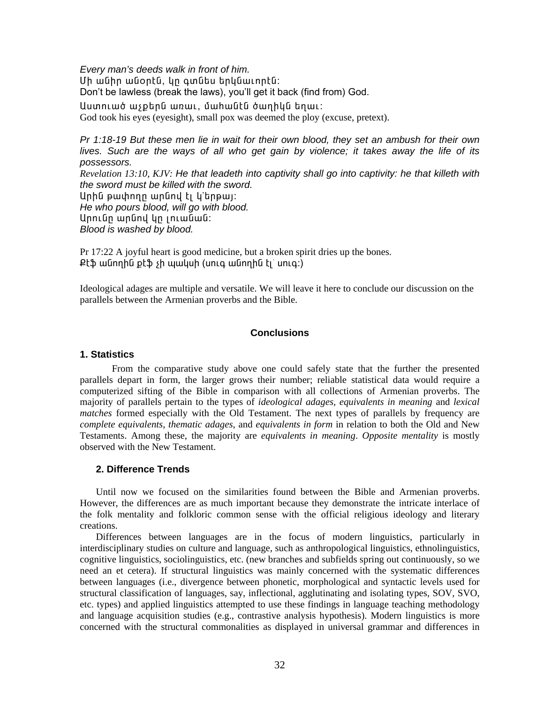*Every man's deeds walk in front of him.*  Uh անիր անօրէն, կր գտնես երկնաւորէն: Don't be lawless (break the laws), you'll get it back (find from) God. Աստուած աչքերն առաւ, մահանէն ծաղիկն եղաւ:

God took his eyes (eyesight), small pox was deemed the ploy (excuse, pretext).

*Pr 1:18-19 But these men lie in wait for their own blood, they set an ambush for their own lives. Such are the ways of all who get gain by violence; it takes away the life of its possessors.* 

*Revelation 13:10, KJV: He that leadeth into captivity shall go into captivity: he that killeth with the sword must be killed with the sword.*  Unhū pwփnnn wnūnu ti li'tinpwi: *He who pours blood, will go with blood.*  Արունը արնով կը լուանան։ *Blood is washed by blood.* 

Pr 17:22 A joyful heart is good medicine, but a broken spirit dries up the bones.

 $P$ էֆ անողին քէֆ չի պակսի (սուգ անողին էլ` սուգ:)

Ideological adages are multiple and versatile. We will leave it here to conclude our discussion on the parallels between the Armenian proverbs and the Bible.

# **Conclusions**

# **1. Statistics**

From the comparative study above one could safely state that the further the presented parallels depart in form, the larger grows their number; reliable statistical data would require a computerized sifting of the Bible in comparison with all collections of Armenian proverbs. The majority of parallels pertain to the types of *ideological adages, equivalents in meaning* and *lexical matches* formed especially with the Old Testament. The next types of parallels by frequency are *complete equivalents*, *thematic adages*, and *equivalents in form* in relation to both the Old and New Testaments. Among these, the majority are *equivalents in meaning*. *Opposite mentality* is mostly observed with the New Testament.

# **2. Difference Trends**

Until now we focused on the similarities found between the Bible and Armenian proverbs. However, the differences are as much important because they demonstrate the intricate interlace of the folk mentality and folkloric common sense with the official religious ideology and literary creations.

Differences between languages are in the focus of modern linguistics, particularly in interdisciplinary studies on culture and language, such as anthropological linguistics, ethnolinguistics, cognitive linguistics, sociolinguistics, etc. (new branches and subfields spring out continuously, so we need an et cetera). If structural linguistics was mainly concerned with the systematic differences between languages (i.e., divergence between phonetic, morphological and syntactic levels used for structural classification of languages, say, inflectional, agglutinating and isolating types, SOV, SVO, etc. types) and applied linguistics attempted to use these findings in language teaching methodology and language acquisition studies (e.g., contrastive analysis hypothesis). Modern linguistics is more concerned with the structural commonalities as displayed in universal grammar and differences in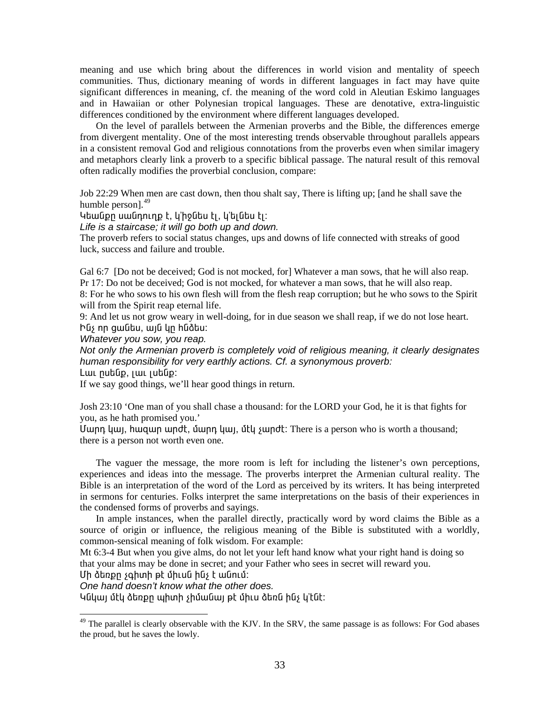meaning and use which bring about the differences in world vision and mentality of speech communities. Thus, dictionary meaning of words in different languages in fact may have quite significant differences in meaning, cf. the meaning of the word cold in Aleutian Eskimo languages and in Hawaiian or other Polynesian tropical languages. These are denotative, extra-linguistic differences conditioned by the environment where different languages developed.

On the level of parallels between the Armenian proverbs and the Bible, the differences emerge from divergent mentality. One of the most interesting trends observable throughout parallels appears in a consistent removal God and religious connotations from the proverbs even when similar imagery and metaphors clearly link a proverb to a specific biblical passage. The natural result of this removal often radically modifies the proverbial conclusion, compare:

Job 22:29 When men are cast down, then thou shalt say, There is lifting up; [and he shall save the humble person].<sup>[49](#page-32-0)</sup>

 $\lambda$ եանքը սանդուղք է, կ'իջնես էլ, կ'ելնես էլ։

*Life is a staircase; it will go both up and down.* 

The proverb refers to social status changes, ups and downs of life connected with streaks of good luck, success and failure and trouble.

Gal 6:7 [Do not be deceived; God is not mocked, for] Whatever a man sows, that he will also reap. Pr 17: Do not be deceived; God is not mocked, for whatever a man sows, that he will also reap. 8: For he who sows to his own flesh will from the flesh reap corruption; but he who sows to the Spirit will from the Spirit reap eternal life.

9: And let us not grow weary in well-doing, for in due season we shall reap, if we do not lose heart. hūs nn gwūtu, wjū yn hūðtu:

*Whatever you sow, you reap.* 

*Not only the Armenian proverb is completely void of religious meaning, it clearly designates human responsibility for very earthly actions. Cf. a synonymous proverb:* 

<u>Lաւ</u> րսենք, լաւ լսենք։

If we say good things, we'll hear good things in return.

[Josh 23:10](http://www.htmlbible.com/kjv30/B06C023.htm#V10) 'One man of you shall chase a thousand: for the LORD your God, he it is that fights for you, as he hath promised you.'

Uwnn կայ, hwqwn wndt, մարդ կայ, մէկ չարdt: There is a person who is worth a thousand; there is a person not worth even one.

The vaguer the message, the more room is left for including the listener's own perceptions, experiences and ideas into the message. The proverbs interpret the Armenian cultural reality. The Bible is an interpretation of the word of the Lord as perceived by its writers. It has being interpreted in sermons for centuries. Folks interpret the same interpretations on the basis of their experiences in the condensed forms of proverbs and sayings.

In ample instances, when the parallel directly, practically word by word claims the Bible as a source of origin or influence, the religious meaning of the Bible is substituted with a worldly, common-sensical meaning of folk wisdom. For example:

Mt 6:3-4 But when you give alms, do not let your left hand know what your right hand is doing so that your alms may be done in secret; and your Father who sees in secret will reward you.

Uh ձեռքը չգիտի թէ միւսն ինչ է անում:

1

*One hand doesn't know what the other does.* 

Կնկայ մէկ ձեռքը պիտի չիմանայ թէ միւս ձեռն ինչ կ՚էնէ։

<span id="page-32-0"></span> $49$  The parallel is clearly observable with the KJV. In the SRV, the same passage is as follows: For God abases the proud, but he saves the lowly.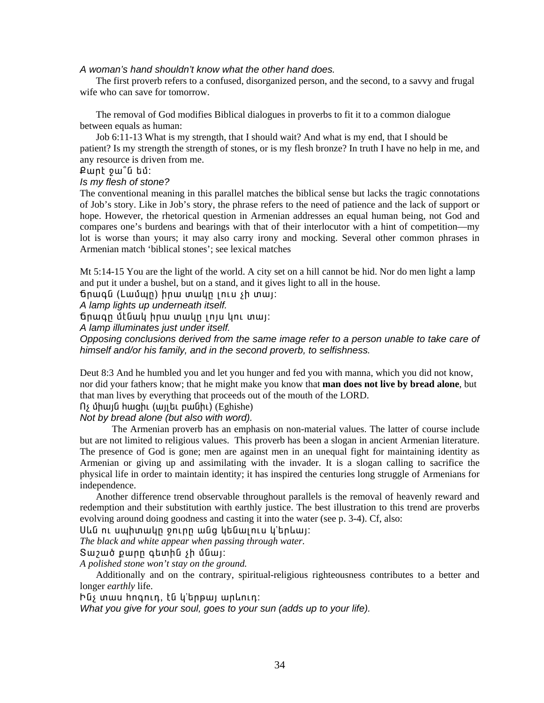#### *A woman's hand shouldn't know what the other hand does.*

The first proverb refers to a confused, disorganized person, and the second, to a savvy and frugal wife who can save for tomorrow.

The removal of God modifies Biblical dialogues in proverbs to fit it to a common dialogue between equals as human:

Job 6:11-13 What is my strength, that I should wait? And what is my end, that I should be patient? Is my strength the strength of stones, or is my flesh bronze? In truth I have no help in me, and any resource is driven from me.

 $P$ wnt pw<sup>o</sup>u bú:

#### *Is my flesh of stone?*

The conventional meaning in this parallel matches the biblical sense but lacks the tragic connotations of Job's story. Like in Job's story, the phrase refers to the need of patience and the lack of support or hope. However, the rhetorical question in Armenian addresses an equal human being, not God and compares one's burdens and bearings with that of their interlocutor with a hint of competition—my lot is worse than yours; it may also carry irony and mocking. Several other common phrases in Armenian match 'biblical stones'; see lexical matches

Mt 5:14-15 You are the light of the world. A city set on a hill cannot be hid. Nor do men light a lamp and put it under a bushel, but on a stand, and it gives light to all in the house.

 $f$ ճրագն (Լամպը) իրա տակը լուս չի տալ։

*A lamp lights up underneath itself.* 

ճրագը մէնակ իրա տակը լոյս կու տայ:

*A lamp illuminates just under itself.* 

*Opposing conclusions derived from the same image refer to a person unable to take care of himself and/or his family, and in the second proverb, to selfishness.* 

Deut 8:3 And he humbled you and let you hunger and fed you with manna, which you did not know, nor did your fathers know; that he might make you know that **man does not live by bread alone**, but that man lives by everything that proceeds out of the mouth of the LORD.

nչ միայն hացիւ (այլեւ բանիւ) (Eghishe)

*Not by bread alone (but also with word).* 

The Armenian proverb has an emphasis on non-material values. The latter of course include but are not limited to religious values. This proverb has been a slogan in ancient Armenian literature. The presence of God is gone; men are against men in an unequal fight for maintaining identity as Armenian or giving up and assimilating with the invader. It is a slogan calling to sacrifice the physical life in order to maintain identity; it has inspired the centuries long struggle of Armenians for independence.

Another difference trend observable throughout parallels is the removal of heavenly reward and redemption and their substitution with earthly justice. The best illustration to this trend are proverbs evolving around doing goodness and casting it into the water (see p. 3-4). Cf, also:

Սևն ու սպիտակը ջուրը անց կենալուս կ'երևայ:

*The black and white appear when passing through water.* 

Sw zwó pwnn q tunh G sh ú Gwi:

*A polished stone won't stay on the ground.* 

Additionally and on the contrary, spiritual-religious righteousness contributes to a better and longer *earthly* life.

hūs mwu hnonin, tū li'bnewi wnlinin:

*What you give for your soul, goes to your sun (adds up to your life).*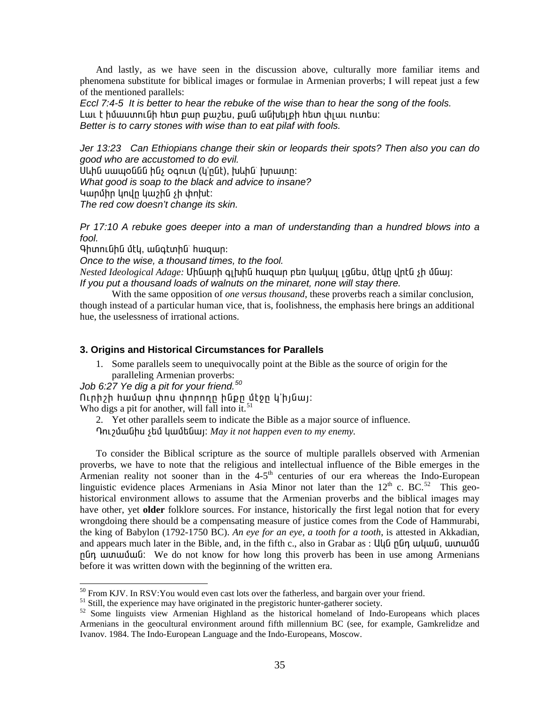And lastly, as we have seen in the discussion above, culturally more familiar items and phenomena substitute for biblical images or formulae in Armenian proverbs; I will repeat just a few of the mentioned parallels:

Eccl 7:4-5 It is better to hear the rebuke of the wise than to hear the song of the fools. Լաւ է իմաստունի հետ քար քաշես, քան անխելքի հետ փլաւ ուտես։ Better is to carry stones with wise than to eat pilaf with fools.

Jer 13:23 Can Ethiopians change their skin or leopards their spots? Then also you can do good who are accustomed to do evil.

Սևին սապօննն ինչ օգուտ (կ'րնէ), խևին՝ խրատր։ What good is soap to the black and advice to insane? Կարմիր կովը կաշին չի փոխէ։ The red cow doesn't change its skin.

Pr 17:10 A rebuke goes deeper into a man of understanding than a hundred blows into a fool.

Գիտունին մէկ, անգէտին՝ հազար։

Once to the wise, a thousand times, to the fool.

Nested Ideological Adage: Մինարի գլխին իազար բեռ կակալ լցնես, մէկը վրէն չի մնալ: If you put a thousand loads of walnuts on the minaret, none will stay there.

With the same opposition of *one versus thousand*, these proverbs reach a similar conclusion, though instead of a particular human vice, that is, foolishness, the emphasis here brings an additional hue, the uselessness of irrational actions.

### 3. Origins and Historical Circumstances for Parallels

1. Some parallels seem to unequivocally point at the Bible as the source of origin for the paralleling Armenian proverbs:

Job 6:27 Ye dig a pit for your friend.<sup>50</sup>

 $\int$  nunner that  $\int$  have the upper parameter  $\int$  have  $\int$  in  $\int$  in  $\int$  in  $\int$  in  $\int$  in  $\int$  in  $\int$  in  $\int$  in  $\int$  in  $\int$  in  $\int$  in  $\int$  in  $\int$  in  $\int$  in  $\int$  in  $\int$  in  $\int$  in  $\int$  in  $\int$  in  $\int$  in  $\int$ 

2. Yet other parallels seem to indicate the Bible as a major source of influence.

The *γ* διαθήτας για γία τη συναθήτατα για το *my enemy*.

To consider the Biblical scripture as the source of multiple parallels observed with Armenian proverbs, we have to note that the religious and intellectual influence of the Bible emerges in the Armenian reality not sooner than in the  $4-5$ <sup>th</sup> centuries of our era whereas the Indo-European linguistic evidence places Armenians in Asia Minor not later than the  $12^{th}$  c. BC.<sup>52</sup> This geohistorical environment allows to assume that the Armenian proverbs and the biblical images may have other, yet older folklore sources. For instance, historically the first legal notion that for every wrongdoing there should be a compensating measure of justice comes from the Code of Hammurabi, the king of Babylon (1792-1750 BC). An eye for an eye, a tooth for a tooth, is attested in Akkadian, and appears much later in the Bible, and, in the fifth c., also in Grabar as: Uu G n Gn w u quu G, w u m w G G plin ununununculigity. We do not know for how long this proverb has been in use among Armenians before it was written down with the beginning of the written era.

 $^{50}$  From KJV. In RSV: You would even cast lots over the fatherless, and bargain over your friend.

<span id="page-34-1"></span><span id="page-34-0"></span> $51$  Still, the experience may have originated in the pregistoric hunter-gatherer society.

<span id="page-34-2"></span><sup>&</sup>lt;sup>52</sup> Some linguists view Armenian Highland as the historical homeland of Indo-Europeans which places Armenians in the geocultural environment around fifth millennium BC (see, for example, Gamkrelidze and Ivanov. 1984. The Indo-European Language and the Indo-Europeans, Moscow.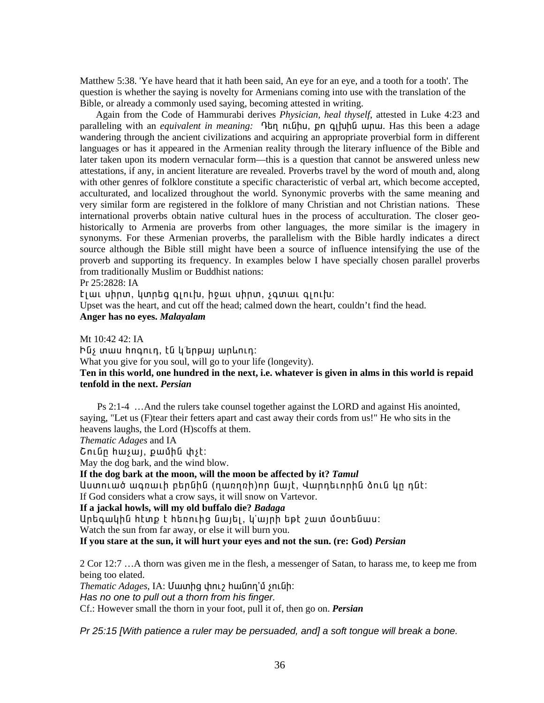Matthew 5:38. 'Ye have heard that it hath been said, An eye for an eye, and a tooth for a tooth'. The question is whether the saying is novelty for Armenians coming into use with the translation of the Bible, or already a commonly used saying, becoming attested in writing.

Again from the Code of Hammurabi derives *Physician, heal thyself*, attested in [Luke 4:23](http://www.htmlbible.com/kjv30/B42C004.htm#V23) and paralleling with an *equivalent in meaning*: **Itan nuuthu**, pn quilatellelique. Has this been a adage wandering through the ancient civilizations and acquiring an appropriate proverbial form in different languages or has it appeared in the Armenian reality through the literary influence of the Bible and later taken upon its modern vernacular form—this is a question that cannot be answered unless new attestations, if any, in ancient literature are revealed. Proverbs travel by the word of mouth and, along with other genres of folklore constitute a specific characteristic of verbal art, which become accepted, acculturated, and localized throughout the world. Synonymic proverbs with the same meaning and very similar form are registered in the folklore of many Christian and not Christian nations. These international proverbs obtain native cultural hues in the process of acculturation. The closer geohistorically to Armenia are proverbs from other languages, the more similar is the imagery in synonyms. For these Armenian proverbs, the parallelism with the Bible hardly indicates a direct source although the Bible still might have been a source of influence intensifying the use of the proverb and supporting its frequency. In examples below I have specially chosen parallel proverbs from traditionally Muslim or Buddhist nations:

Pr 25:2828: IA

 $E$ i eu uhnun, yunta qinitu, howi uhnun, squali qinitu:

Upset was the heart, and cut off the head; calmed down the heart, couldn't find the head.

**Anger has no eyes.** *Malayalam*

Mt 10:42 42: IA hūs mwu hnanin, tū y'thewi wnlinin: What you give for you soul, will go to your life (longevity). **Ten in this world, one hundred in the next, i.e. whatever is given in alms in this world is repaid tenfold in the next.** *Persian*

 Ps 2:1-4 …And the rulers take counsel together against the LORD and against His anointed, saying, "Let us (F)tear their fetters apart and cast away their cords from us!" He who sits in the heavens laughs, the Lord (H)scoffs at them.

*Thematic Adages* and IA

Cniun huisui, puuhu hist:

May the dog bark, and the wind blow.

**If the dog bark at the moon, will the moon be affected by it?** *Tamul*

Uuunuuó wonwih ptnūhū (nwnnnh)nn ūwit, Վարդեւորին ծուն կը դնէ: If God considers what a crow says, it will snow on Vartevor.

**If a jackal howls, will my old buffalo die?** *Badaga*

Untqwyhū htup t htenthq ūwiti, y'winh tet zwu uountuwu:

Watch the sun from far away, or else it will burn you.

**If you stare at the sun, it will hurt your eyes and not the sun. (re: God)** *Persian*

2 Cor 12:7 …A thorn was given me in the flesh, a messenger of Satan, to harass me, to keep me from being too elated.

*Thematic Adages*, IA: Uwunhg փnւշ hwūnn'ǔ չունի:

*Has no one to pull out a thorn from his finger.* 

Cf.: However small the thorn in your foot, pull it of, then go on. *Persian*

*Pr 25:15 [With patience a ruler may be persuaded, and] a soft tongue will break a bone.*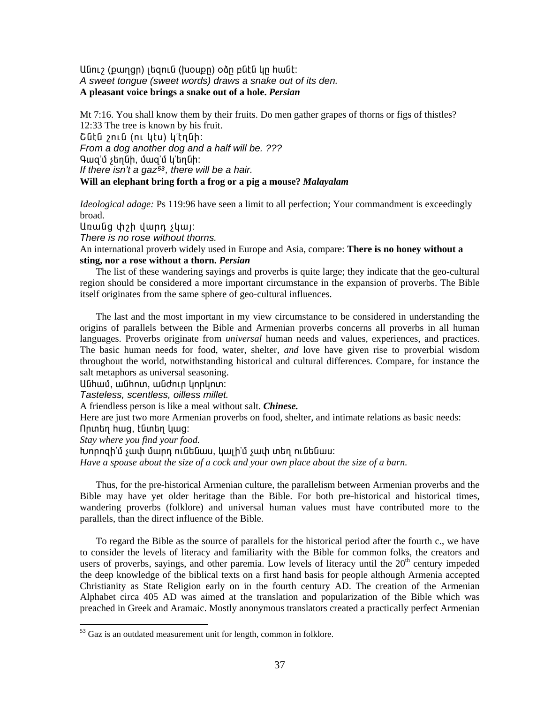Uնուշ (քաղցր) լեզուն (խօսքը) օձը բնէն կը հանէ։ A sweet tongue (sweet words) draws a snake out of its den. A pleasant voice brings a snake out of a hole. Persian

Mt 7:16. You shall know them by their fruits. Do men gather grapes of thorns or figs of thistles? 12:33 The tree is known by his fruit. Շնէն շուն (ու կէս) կ՛էղնի։ From a dog another dog and a half will be. ??? Գաց'մ չեղնի, մաց'մ կ'եղնի: If there isn't a gaz<sup>53</sup>, there will be a hair.

Will an elephant bring forth a frog or a pig a mouse? Malayalam

*Ideological adage:* Ps 119:96 have seen a limit to all perfection; Your commandment is exceedingly broad.

Unwug uh umn syun:

There is no rose without thorns.

An international proverb widely used in Europe and Asia, compare: There is no honey without a sting, nor a rose without a thorn. Persian

The list of these wandering sayings and proverbs is quite large; they indicate that the geo-cultural region should be considered a more important circumstance in the expansion of proverbs. The Bible itself originates from the same sphere of geo-cultural influences.

The last and the most important in my view circumstance to be considered in understanding the origins of parallels between the Bible and Armenian proverbs concerns all proverbs in all human languages. Proverbs originate from *universal* human needs and values, experiences, and practices. The basic human needs for food, water, shelter, and love have given rise to proverbial wisdom throughout the world, notwithstanding historical and cultural differences. Compare, for instance the salt metaphors as universal seasoning.

Անիամ, անիոտ, անժուր կորկոտ:

Tasteless, scentless, oilless millet.

A friendless person is like a meal without salt. Chinese.

Here are just two more Armenian proverbs on food, shelter, and intimate relations as basic needs: Որտեղ հաց, էնտեղ կաց։

Stay where you find your food.

խորոցի'մ չափ մարդ ունենաս, կալի'մ չափ տեղ ունենաս:

Have a spouse about the size of a cock and your own place about the size of a barn.

Thus, for the pre-historical Armenian culture, the parallelism between Armenian proverbs and the Bible may have yet older heritage than the Bible. For both pre-historical and historical times, wandering proverbs (folklore) and universal human values must have contributed more to the parallels, than the direct influence of the Bible.

To regard the Bible as the source of parallels for the historical period after the fourth c., we have to consider the levels of literacy and familiarity with the Bible for common folks, the creators and users of proverbs, sayings, and other paremia. Low levels of literacy until the  $20<sup>th</sup>$  century impeded the deep knowledge of the biblical texts on a first hand basis for people although Armenia accepted Christianity as State Religion early on in the fourth century AD. The creation of the Armenian Alphabet circa 405 AD was aimed at the translation and popularization of the Bible which was preached in Greek and Aramaic. Mostly anonymous translators created a practically perfect Armenian

<span id="page-36-0"></span> $53$  Gaz is an outdated measurement unit for length, common in folklore.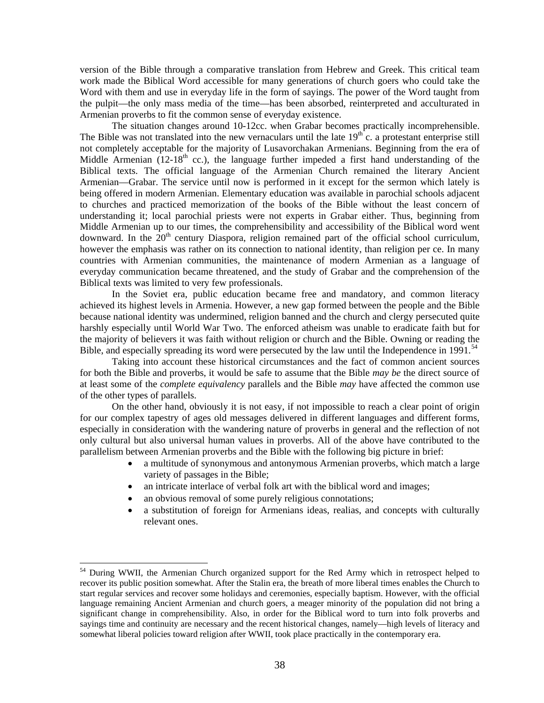version of the Bible through a comparative translation from Hebrew and Greek. This critical team work made the Biblical Word accessible for many generations of church goers who could take the Word with them and use in everyday life in the form of sayings. The power of the Word taught from the pulpit—the only mass media of the time—has been absorbed, reinterpreted and acculturated in Armenian proverbs to fit the common sense of everyday existence.

The situation changes around 10-12cc. when Grabar becomes practically incomprehensible. The Bible was not translated into the new vernaculars until the late  $19<sup>th</sup>$ c. a protestant enterprise still not completely acceptable for the majority of Lusavorchakan Armenians. Beginning from the era of Middle Armenian  $(12-18<sup>th</sup>$  cc.), the language further impeded a first hand understanding of the Biblical texts. The official language of the Armenian Church remained the literary Ancient Armenian—Grabar. The service until now is performed in it except for the sermon which lately is being offered in modern Armenian. Elementary education was available in parochial schools adjacent to churches and practiced memorization of the books of the Bible without the least concern of understanding it; local parochial priests were not experts in Grabar either. Thus, beginning from Middle Armenian up to our times, the comprehensibility and accessibility of the Biblical word went downward. In the  $20<sup>th</sup>$  century Diaspora, religion remained part of the official school curriculum, however the emphasis was rather on its connection to national identity, than religion per ce. In many countries with Armenian communities, the maintenance of modern Armenian as a language of everyday communication became threatened, and the study of Grabar and the comprehension of the Biblical texts was limited to very few professionals.

In the Soviet era, public education became free and mandatory, and common literacy achieved its highest levels in Armenia. However, a new gap formed between the people and the Bible because national identity was undermined, religion banned and the church and clergy persecuted quite harshly especially until World War Two. The enforced atheism was unable to eradicate faith but for the majority of believers it was faith without religion or church and the Bible. Owning or reading the Bible, and especially spreading its word were persecuted by the law until the Independence in  $1991$ .<sup>[54](#page-37-0)</sup>

Taking into account these historical circumstances and the fact of common ancient sources for both the Bible and proverbs, it would be safe to assume that the Bible *may be* the direct source of at least some of the *complete equivalency* parallels and the Bible *may* have affected the common use of the other types of parallels.

On the other hand, obviously it is not easy, if not impossible to reach a clear point of origin for our complex tapestry of ages old messages delivered in different languages and different forms, especially in consideration with the wandering nature of proverbs in general and the reflection of not only cultural but also universal human values in proverbs. All of the above have contributed to the parallelism between Armenian proverbs and the Bible with the following big picture in brief:

- a multitude of synonymous and antonymous Armenian proverbs, which match a large variety of passages in the Bible;
- an intricate interlace of verbal folk art with the biblical word and images;
- an obvious removal of some purely religious connotations;

l

• a substitution of foreign for Armenians ideas, realias, and concepts with culturally relevant ones.

<span id="page-37-0"></span><sup>&</sup>lt;sup>54</sup> During WWII, the Armenian Church organized support for the Red Army which in retrospect helped to recover its public position somewhat. After the Stalin era, the breath of more liberal times enables the Church to start regular services and recover some holidays and ceremonies, especially baptism. However, with the official language remaining Ancient Armenian and church goers, a meager minority of the population did not bring a significant change in comprehensibility. Also, in order for the Biblical word to turn into folk proverbs and sayings time and continuity are necessary and the recent historical changes, namely—high levels of literacy and somewhat liberal policies toward religion after WWII, took place practically in the contemporary era.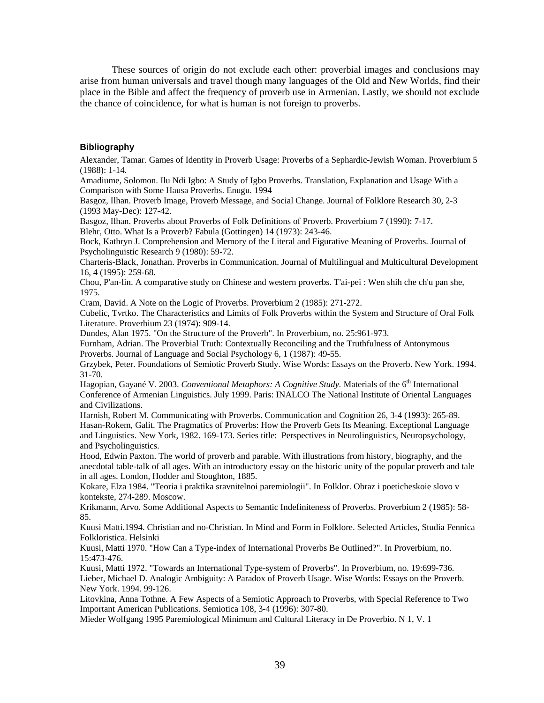These sources of origin do not exclude each other: proverbial images and conclusions may arise from human universals and travel though many languages of the Old and New Worlds, find their place in the Bible and affect the frequency of proverb use in Armenian. Lastly, we should not exclude the chance of coincidence, for what is human is not foreign to proverbs.

#### **Bibliography**

Alexander, Tamar. Games of Identity in Proverb Usage: Proverbs of a Sephardic-Jewish Woman. Proverbium 5 (1988): 1-14.

Amadiume, Solomon. Ilu Ndi Igbo: A Study of Igbo Proverbs. Translation, Explanation and Usage With a Comparison with Some Hausa Proverbs. Enugu. 1994

Basgoz, Ilhan. Proverb Image, Proverb Message, and Social Change. Journal of Folklore Research 30, 2-3 (1993 May-Dec): 127-42.

Basgoz, Ilhan. Proverbs about Proverbs of Folk Definitions of Proverb. Proverbium 7 (1990): 7-17.

Blehr, Otto. What Is a Proverb? Fabula (Gottingen) 14 (1973): 243-46.

Bock, Kathryn J. Comprehension and Memory of the Literal and Figurative Meaning of Proverbs. Journal of Psycholinguistic Research 9 (1980): 59-72.

Charteris-Black, Jonathan. Proverbs in Communication. Journal of Multilingual and Multicultural Development 16, 4 (1995): 259-68.

Chou, P'an-lin. A comparative study on Chinese and western proverbs. T'ai-pei : Wen shih che ch'u pan she, 1975.

Cram, David. A Note on the Logic of Proverbs. Proverbium 2 (1985): 271-272.

Cubelic, Tvrtko. The Characteristics and Limits of Folk Proverbs within the System and Structure of Oral Folk Literature. Proverbium 23 (1974): 909-14.

Dundes, Alan 1975. "On the Structure of the Proverb". In Proverbium, no. 25:961-973.

Furnham, Adrian. The Proverbial Truth: Contextually Reconciling and the Truthfulness of Antonymous Proverbs. Journal of Language and Social Psychology 6, 1 (1987): 49-55.

Grzybek, Peter. Foundations of Semiotic Proverb Study. Wise Words: Essays on the Proverb. New York. 1994. 31-70.

Hagopian, Gayané V. 2003. *Conventional Metaphors: A Cognitive Study*. Materials of the 6<sup>th</sup> International Conference of Armenian Linguistics. July 1999. Paris: INALCO The National Institute of Oriental Languages and Civilizations.

Harnish, Robert M. Communicating with Proverbs. Communication and Cognition 26, 3-4 (1993): 265-89. Hasan-Rokem, Galit. The Pragmatics of Proverbs: How the Proverb Gets Its Meaning. Exceptional Language and Linguistics. New York, 1982. 169-173. Series title: Perspectives in Neurolinguistics, Neuropsychology, and Psycholinguistics.

Hood, Edwin Paxton. The world of proverb and parable. With illustrations from history, biography, and the anecdotal table-talk of all ages. With an introductory essay on the historic unity of the popular proverb and tale in all ages. London, Hodder and Stoughton, 1885.

Kokare, Elza 1984. "Teoria i praktika sravnitelnoi paremiologii". In Folklor. Obraz i poeticheskoie slovo v kontekste, 274-289. Moscow.

Krikmann, Arvo. Some Additional Aspects to Semantic Indefiniteness of Proverbs. Proverbium 2 (1985): 58-85.

Kuusi Matti.1994. Christian and no-Christian. In Mind and Form in Folklore. Selected Articles, Studia Fennica Folkloristica. Helsinki

Kuusi, Matti 1970. "How Can a Type-index of International Proverbs Be Outlined?". In Proverbium, no. 15:473-476.

Kuusi, Matti 1972. "Towards an International Type-system of Proverbs". In Proverbium, no. 19:699-736. Lieber, Michael D. Analogic Ambiguity: A Paradox of Proverb Usage. Wise Words: Essays on the Proverb. New York. 1994. 99-126.

Litovkina, Anna Tothne. A Few Aspects of a Semiotic Approach to Proverbs, with Special Reference to Two Important American Publications. Semiotica 108, 3-4 (1996): 307-80.

Mieder Wolfgang 1995 Paremiological Minimum and Cultural Literacy in De Proverbio. N 1, V. 1